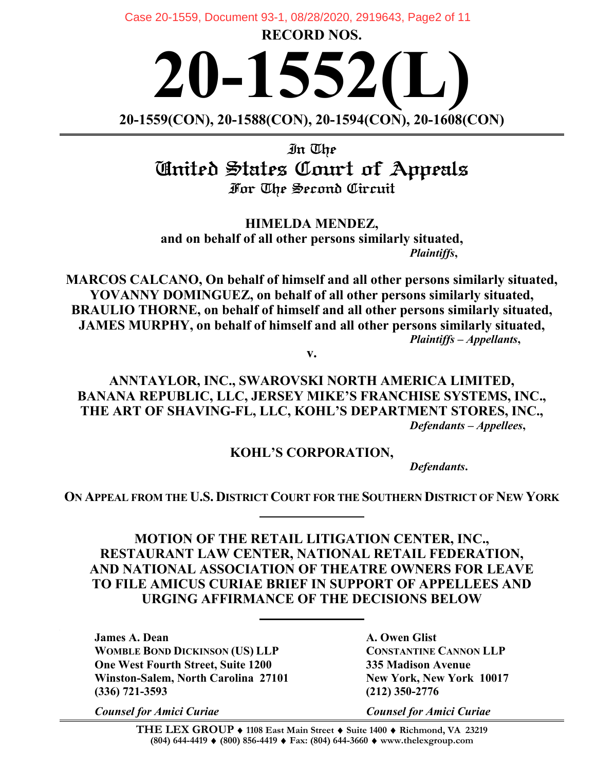Case 20-1559, Document 93-1, 08/28/2020, 2919643, Page2 of 11

**RECORD NOS.** 

**20-1552(L) 20-1559(CON), 20-1588(CON), 20-1594(CON), 20-1608(CON)**

In The United States Court of Appeals For The Second Circuit

**HIMELDA MENDEZ, and on behalf of all other persons similarly situated,** *Plaintiffs***,**

**MARCOS CALCANO, On behalf of himself and all other persons similarly situated, YOVANNY DOMINGUEZ, on behalf of all other persons similarly situated, BRAULIO THORNE, on behalf of himself and all other persons similarly situated, JAMES MURPHY, on behalf of himself and all other persons similarly situated,** *Plaintiffs – Appellants***,**

**v.**

**ANNTAYLOR, INC., SWAROVSKI NORTH AMERICA LIMITED, BANANA REPUBLIC, LLC, JERSEY MIKE'S FRANCHISE SYSTEMS, INC., THE ART OF SHAVING-FL, LLC, KOHL'S DEPARTMENT STORES, INC.,** *Defendants – Appellees***,**

**KOHL'S CORPORATION,**

*Defendants***.**

**ON APPEAL FROM THE U.S. DISTRICT COURT FOR THE SOUTHERN DISTRICT OF NEW YORK**

**MOTION OF THE RETAIL LITIGATION CENTER, INC., RESTAURANT LAW CENTER, NATIONAL RETAIL FEDERATION, AND NATIONAL ASSOCIATION OF THEATRE OWNERS FOR LEAVE TO FILE AMICUS CURIAE BRIEF IN SUPPORT OF APPELLEES AND URGING AFFIRMANCE OF THE DECISIONS BELOW**

**James A. Dean A. Owen Glist WOMBLE BOND DICKINSON (US) LLP CONSTANTINE CANNON LLP One West Fourth Street, Suite 1200 335 Madison Avenue Winston-Salem, North Carolina 27101 New York, New York 10017 (336) 721-3593 (212) 350-2776**

*Counsel for Amici Curiae Counsel for Amici Curiae*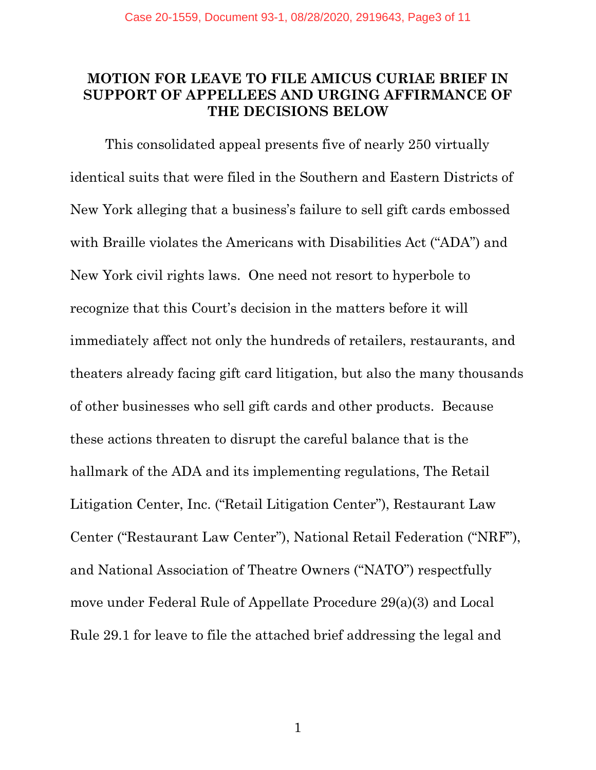#### **MOTION FOR LEAVE TO FILE AMICUS CURIAE BRIEF IN SUPPORT OF APPELLEES AND URGING AFFIRMANCE OF THE DECISIONS BELOW**

This consolidated appeal presents five of nearly 250 virtually identical suits that were filed in the Southern and Eastern Districts of New York alleging that a business's failure to sell gift cards embossed with Braille violates the Americans with Disabilities Act ("ADA") and New York civil rights laws. One need not resort to hyperbole to recognize that this Court's decision in the matters before it will immediately affect not only the hundreds of retailers, restaurants, and theaters already facing gift card litigation, but also the many thousands of other businesses who sell gift cards and other products. Because these actions threaten to disrupt the careful balance that is the hallmark of the ADA and its implementing regulations, The Retail Litigation Center, Inc. ("Retail Litigation Center"), Restaurant Law Center ("Restaurant Law Center"), National Retail Federation ("NRF"), and National Association of Theatre Owners ("NATO") respectfully move under Federal Rule of Appellate Procedure 29(a)(3) and Local Rule 29.1 for leave to file the attached brief addressing the legal and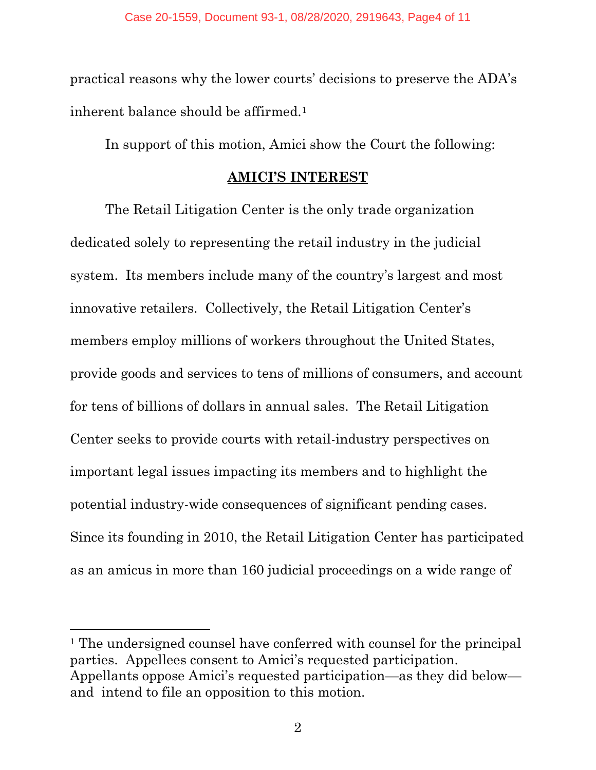practical reasons why the lower courts' decisions to preserve the ADA's inherent balance should be affirmed.<sup>[1](#page-2-0)</sup>

In support of this motion, Amici show the Court the following:

#### **AMICI'S INTEREST**

The Retail Litigation Center is the only trade organization dedicated solely to representing the retail industry in the judicial system. Its members include many of the country's largest and most innovative retailers. Collectively, the Retail Litigation Center's members employ millions of workers throughout the United States, provide goods and services to tens of millions of consumers, and account for tens of billions of dollars in annual sales. The Retail Litigation Center seeks to provide courts with retail-industry perspectives on important legal issues impacting its members and to highlight the potential industry-wide consequences of significant pending cases. Since its founding in 2010, the Retail Litigation Center has participated as an amicus in more than 160 judicial proceedings on a wide range of

<span id="page-2-0"></span><sup>&</sup>lt;sup>1</sup> The undersigned counsel have conferred with counsel for the principal parties. Appellees consent to Amici's requested participation. Appellants oppose Amici's requested participation—as they did below and intend to file an opposition to this motion.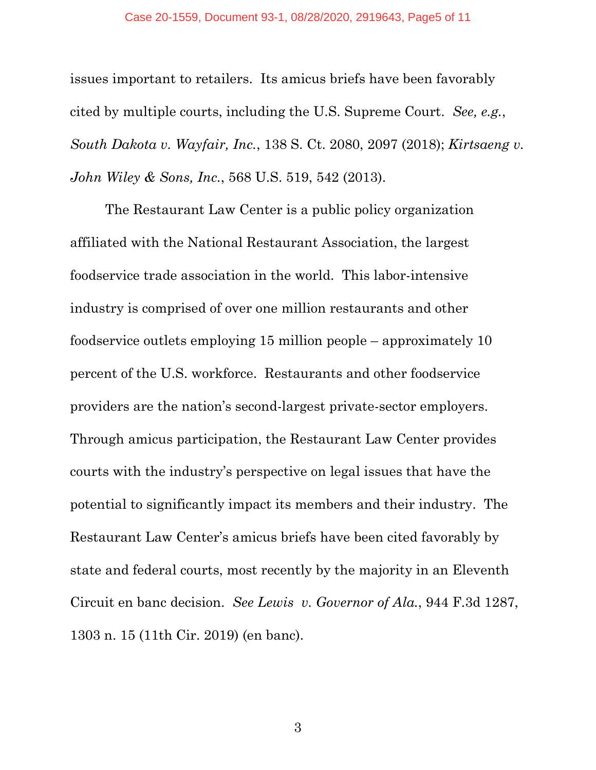#### Case 20-1559, Document 93-1, 08/28/2020, 2919643, Page5 of 11

issues important to retailers. Its amicus briefs have been favorably cited by multiple courts, including the U.S. Supreme Court. *See, e.g.*, *South Dakota v. Wayfair, Inc.*, 138 S. Ct. 2080, 2097 (2018); *Kirtsaeng v. John Wiley & Sons, Inc.*, 568 U.S. 519, 542 (2013).

The Restaurant Law Center is a public policy organization affiliated with the National Restaurant Association, the largest foodservice trade association in the world. This labor-intensive industry is comprised of over one million restaurants and other foodservice outlets employing 15 million people – approximately 10 percent of the U.S. workforce. Restaurants and other foodservice providers are the nation's second-largest private-sector employers. Through amicus participation, the Restaurant Law Center provides courts with the industry's perspective on legal issues that have the potential to significantly impact its members and their industry. The Restaurant Law Center's amicus briefs have been cited favorably by state and federal courts, most recently by the majority in an Eleventh Circuit en banc decision. *See Lewis v. Governor of Ala.*, 944 F.3d 1287, 1303 n. 15 (11th Cir. 2019) (en banc).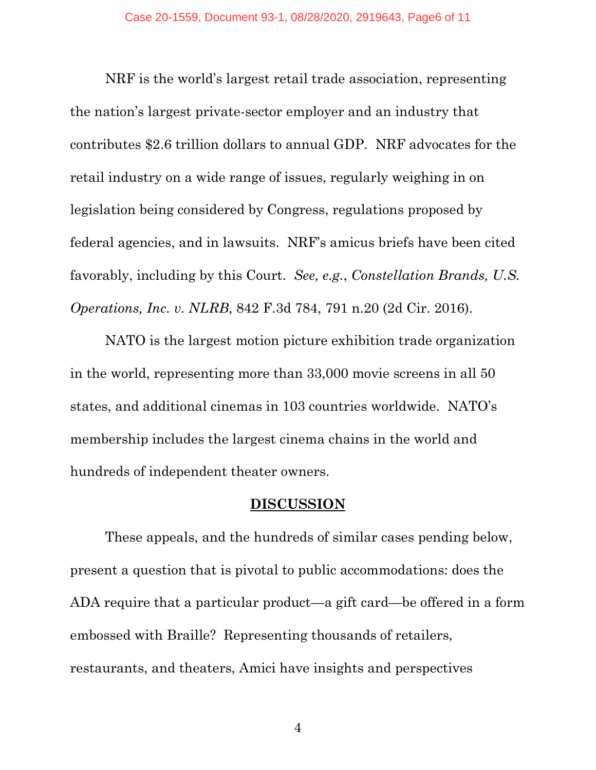NRF is the world's largest retail trade association, representing the nation's largest private-sector employer and an industry that contributes \$2.6 trillion dollars to annual GDP. NRF advocates for the retail industry on a wide range of issues, regularly weighing in on legislation being considered by Congress, regulations proposed by federal agencies, and in lawsuits. NRF's amicus briefs have been cited favorably, including by this Court. *See, e.g.*, *Constellation Brands, U.S. Operations, Inc. v. NLRB*, 842 F.3d 784, 791 n.20 (2d Cir. 2016).

NATO is the largest motion picture exhibition trade organization in the world, representing more than 33,000 movie screens in all 50 states, and additional cinemas in 103 countries worldwide. NATO's membership includes the largest cinema chains in the world and hundreds of independent theater owners.

#### **DISCUSSION**

These appeals, and the hundreds of similar cases pending below, present a question that is pivotal to public accommodations: does the ADA require that a particular product—a gift card—be offered in a form embossed with Braille? Representing thousands of retailers, restaurants, and theaters, Amici have insights and perspectives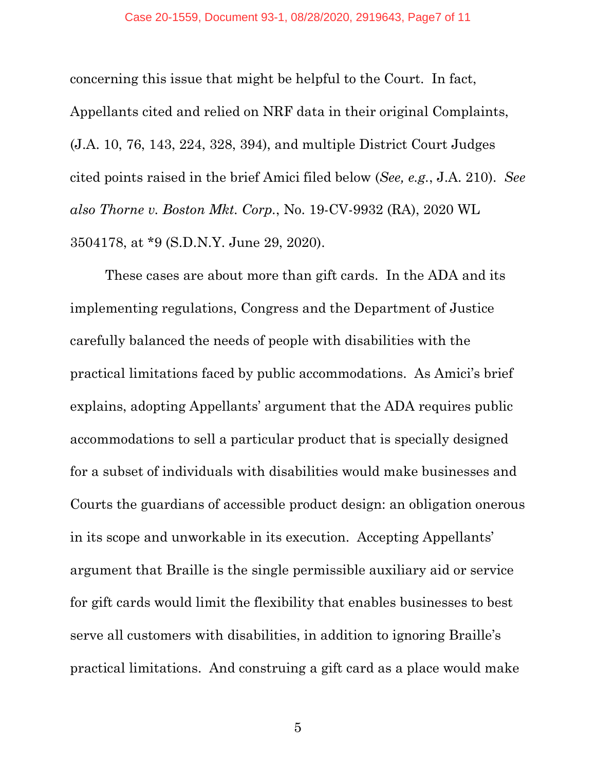#### Case 20-1559, Document 93-1, 08/28/2020, 2919643, Page7 of 11

concerning this issue that might be helpful to the Court. In fact, Appellants cited and relied on NRF data in their original Complaints, (J.A. 10, 76, 143, 224, 328, 394), and multiple District Court Judges cited points raised in the brief Amici filed below (*See, e.g.*, J.A. 210). *See also Thorne v. Boston Mkt. Corp.*, No. 19-CV-9932 (RA), 2020 WL 3504178, at \*9 (S.D.N.Y. June 29, 2020).

These cases are about more than gift cards. In the ADA and its implementing regulations, Congress and the Department of Justice carefully balanced the needs of people with disabilities with the practical limitations faced by public accommodations. As Amici's brief explains, adopting Appellants' argument that the ADA requires public accommodations to sell a particular product that is specially designed for a subset of individuals with disabilities would make businesses and Courts the guardians of accessible product design: an obligation onerous in its scope and unworkable in its execution. Accepting Appellants' argument that Braille is the single permissible auxiliary aid or service for gift cards would limit the flexibility that enables businesses to best serve all customers with disabilities, in addition to ignoring Braille's practical limitations. And construing a gift card as a place would make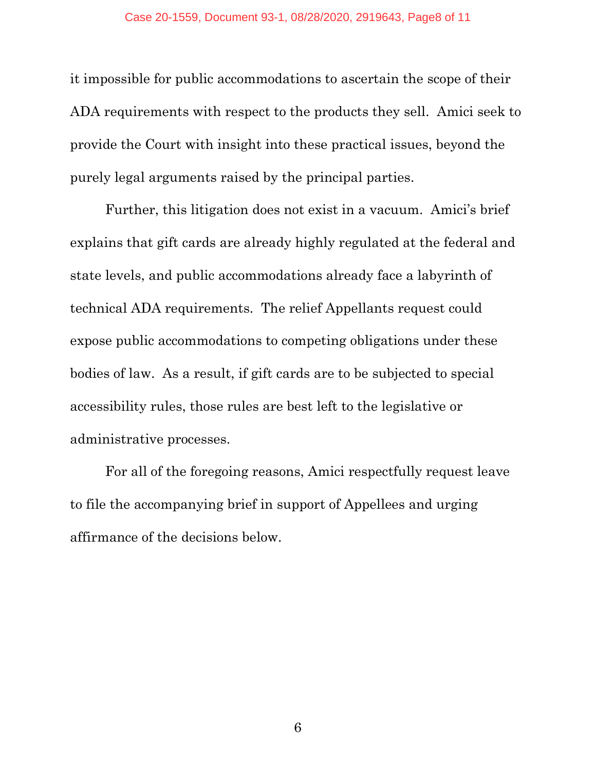it impossible for public accommodations to ascertain the scope of their ADA requirements with respect to the products they sell. Amici seek to provide the Court with insight into these practical issues, beyond the purely legal arguments raised by the principal parties.

Further, this litigation does not exist in a vacuum. Amici's brief explains that gift cards are already highly regulated at the federal and state levels, and public accommodations already face a labyrinth of technical ADA requirements. The relief Appellants request could expose public accommodations to competing obligations under these bodies of law. As a result, if gift cards are to be subjected to special accessibility rules, those rules are best left to the legislative or administrative processes.

For all of the foregoing reasons, Amici respectfully request leave to file the accompanying brief in support of Appellees and urging affirmance of the decisions below.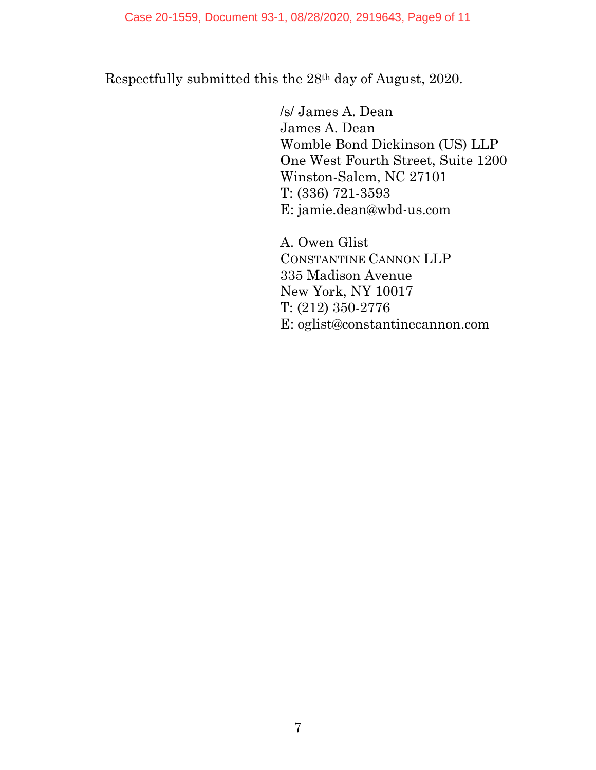Respectfully submitted this the 28th day of August, 2020.

/s/ James A. Dean James A. Dean Womble Bond Dickinson (US) LLP One West Fourth Street, Suite 1200 Winston-Salem, NC 27101 T: (336) 721-3593 E: jamie.dean@wbd-us.com

A. Owen Glist CONSTANTINE CANNON LLP 335 Madison Avenue New York, NY 10017 T: (212) 350-2776 E: oglist@constantinecannon.com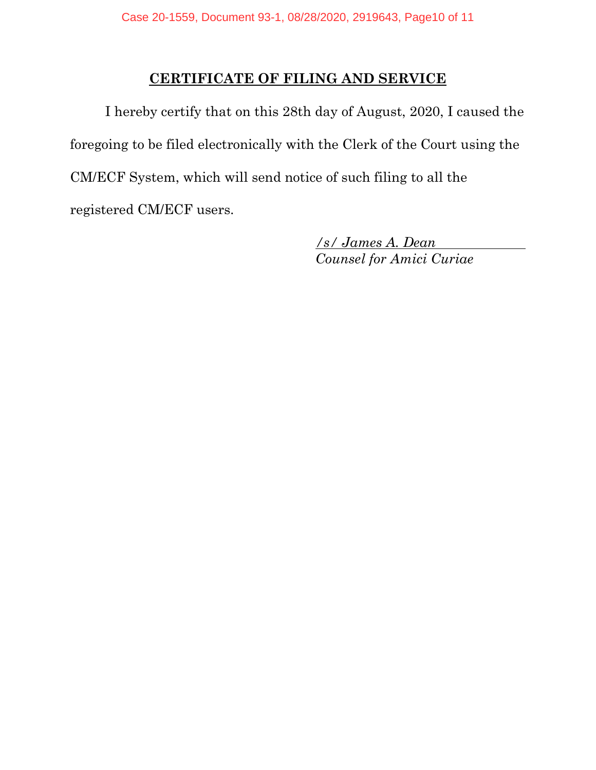#### **CERTIFICATE OF FILING AND SERVICE**

I hereby certify that on this 28th day of August, 2020, I caused the foregoing to be filed electronically with the Clerk of the Court using the CM/ECF System, which will send notice of such filing to all the registered CM/ECF users.

> */s/ James A. Dean Counsel for Amici Curiae*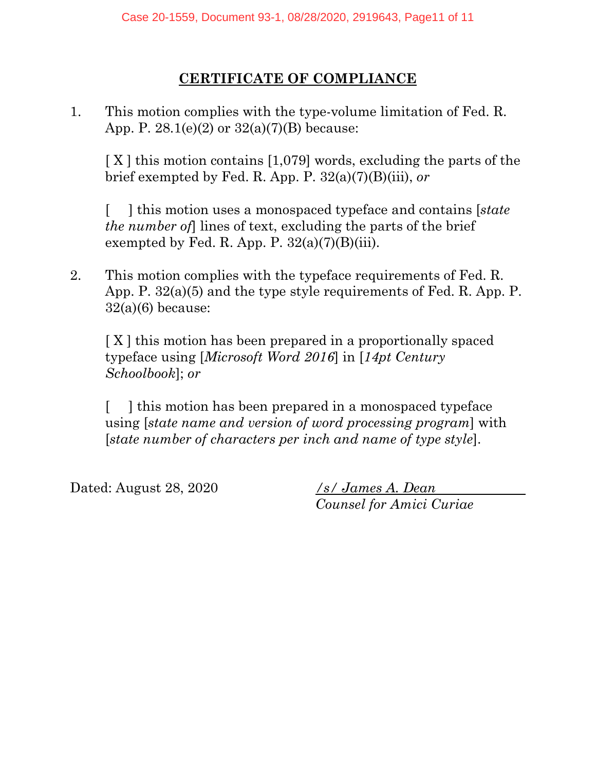## **CERTIFICATE OF COMPLIANCE**

1. This motion complies with the type-volume limitation of Fed. R. App. P.  $28.1(e)(2)$  or  $32(a)(7)(B)$  because:

[X] this motion contains [1,079] words, excluding the parts of the brief exempted by Fed. R. App. P. 32(a)(7)(B)(iii), *or* 

[ ] this motion uses a monospaced typeface and contains [*state the number of*] lines of text, excluding the parts of the brief exempted by Fed. R. App. P.  $32(a)(7)(B)(iii)$ .

2. This motion complies with the typeface requirements of Fed. R. App. P. 32(a)(5) and the type style requirements of Fed. R. App. P.  $32(a)(6)$  because:

[ X ] this motion has been prepared in a proportionally spaced typeface using [*Microsoft Word 2016*] in [*14pt Century Schoolbook*]; *or*

[ ] this motion has been prepared in a monospaced typeface using [*state name and version of word processing program*] with [*state number of characters per inch and name of type style*].

Dated: August 28, 2020 */s/ James A. Dean*

*Counsel for Amici Curiae*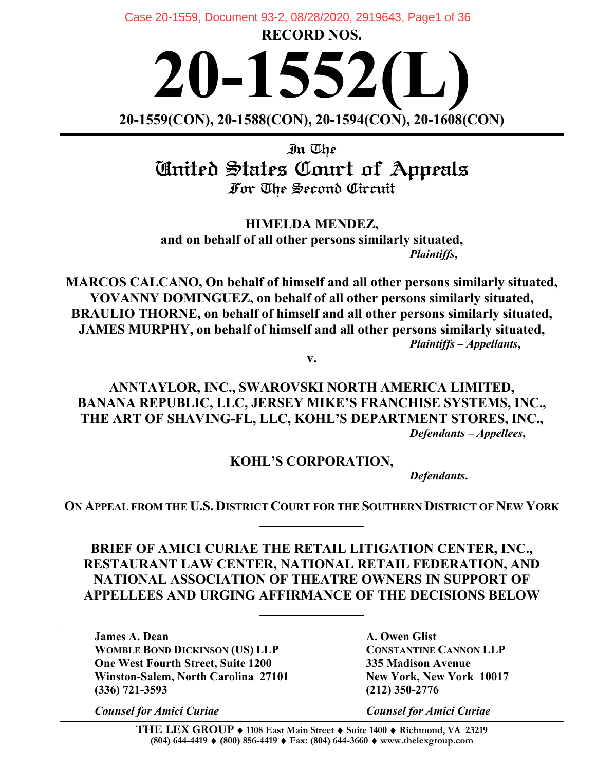**RECORD NOS.**  Case 20-1559, Document 93-2, 08/28/2020, 2919643, Page1 of 36

**20-1552(L) 20-1559(CON), 20-1588(CON), 20-1594(CON), 20-1608(CON)**

In The United States Court of Appeals For The Second Circuit

**HIMELDA MENDEZ, and on behalf of all other persons similarly situated,** *Plaintiffs***,**

**MARCOS CALCANO, On behalf of himself and all other persons similarly situated, YOVANNY DOMINGUEZ, on behalf of all other persons similarly situated, BRAULIO THORNE, on behalf of himself and all other persons similarly situated, JAMES MURPHY, on behalf of himself and all other persons similarly situated,** *Plaintiffs – Appellants***,**

**v.**

**ANNTAYLOR, INC., SWAROVSKI NORTH AMERICA LIMITED, BANANA REPUBLIC, LLC, JERSEY MIKE'S FRANCHISE SYSTEMS, INC., THE ART OF SHAVING-FL, LLC, KOHL'S DEPARTMENT STORES, INC.,** *Defendants – Appellees***,**

#### **KOHL'S CORPORATION,**

*Defendants***.**

**ON APPEAL FROM THE U.S. DISTRICT COURT FOR THE SOUTHERN DISTRICT OF NEW YORK**

**BRIEF OF AMICI CURIAE THE RETAIL LITIGATION CENTER, INC., RESTAURANT LAW CENTER, NATIONAL RETAIL FEDERATION, AND NATIONAL ASSOCIATION OF THEATRE OWNERS IN SUPPORT OF APPELLEES AND URGING AFFIRMANCE OF THE DECISIONS BELOW**

**James A. Dean A. Owen Glist WOMBLE BOND DICKINSON (US) LLP CONSTANTINE CANNON LLP One West Fourth Street, Suite 1200 335 Madison Avenue Winston-Salem, North Carolina 27101 New York, New York 10017 (336) 721-3593 (212) 350-2776**

*Counsel for Amici Curiae Counsel for Amici Curiae*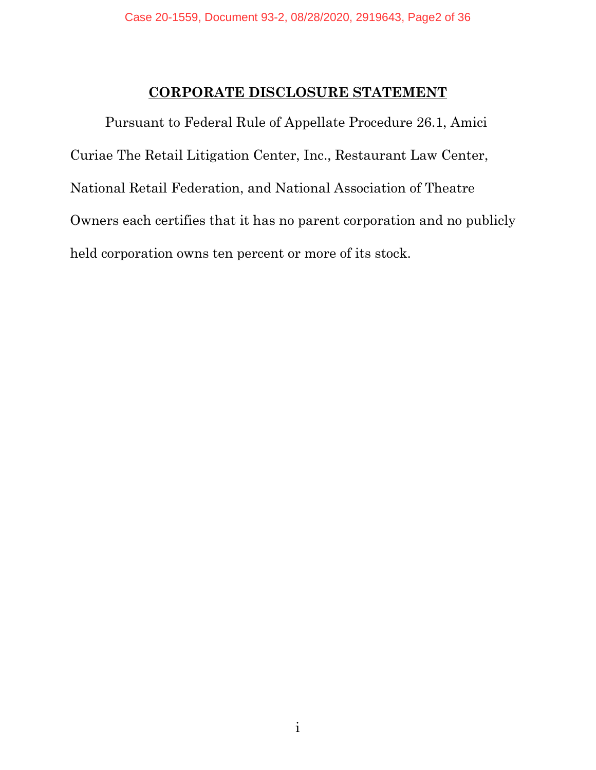#### **CORPORATE DISCLOSURE STATEMENT**

Pursuant to Federal Rule of Appellate Procedure 26.1, Amici Curiae The Retail Litigation Center, Inc., Restaurant Law Center, National Retail Federation, and National Association of Theatre Owners each certifies that it has no parent corporation and no publicly held corporation owns ten percent or more of its stock.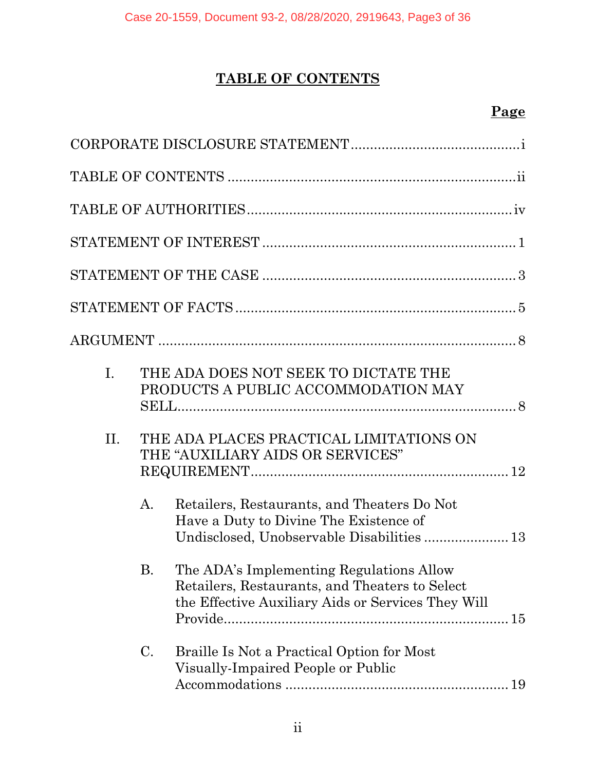# **TABLE OF CONTENTS**

# **Page**

| $\mathbf{I}$ . | THE ADA DOES NOT SEEK TO DICTATE THE<br>PRODUCTS A PUBLIC ACCOMMODATION MAY                                                                         |
|----------------|-----------------------------------------------------------------------------------------------------------------------------------------------------|
| II.            | THE ADA PLACES PRACTICAL LIMITATIONS ON<br>THE "AUXILIARY AIDS OR SERVICES"                                                                         |
|                | Retailers, Restaurants, and Theaters Do Not<br>A.<br>Have a Duty to Divine The Existence of<br>Undisclosed, Unobservable Disabilities 13            |
|                | B. The ADA's Implementing Regulations Allow<br>Retailers, Restaurants, and Theaters to Select<br>the Effective Auxiliary Aids or Services They Will |
|                | $\mathcal{C}$ .<br>Braille Is Not a Practical Option for Most<br>Visually-Impaired People or Public<br>19                                           |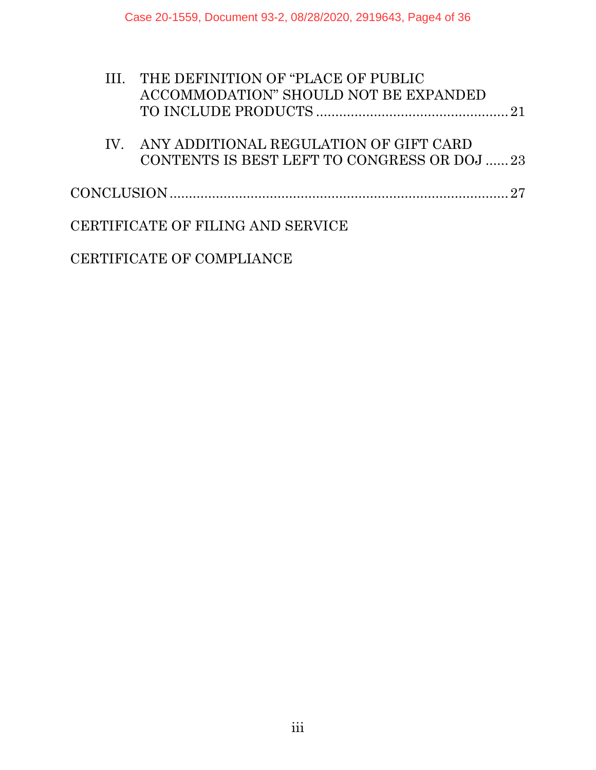|  | III. THE DEFINITION OF "PLACE OF PUBLIC      |  |
|--|----------------------------------------------|--|
|  | ACCOMMODATION" SHOULD NOT BE EXPANDED        |  |
|  |                                              |  |
|  | IV. ANY ADDITIONAL REGULATION OF GIFT CARD   |  |
|  | CONTENTS IS BEST LEFT TO CONGRESS OR DOJ  23 |  |
|  |                                              |  |
|  | CERTIFICATE OF FILING AND SERVICE            |  |
|  |                                              |  |

CERTIFICATE OF COMPLIANCE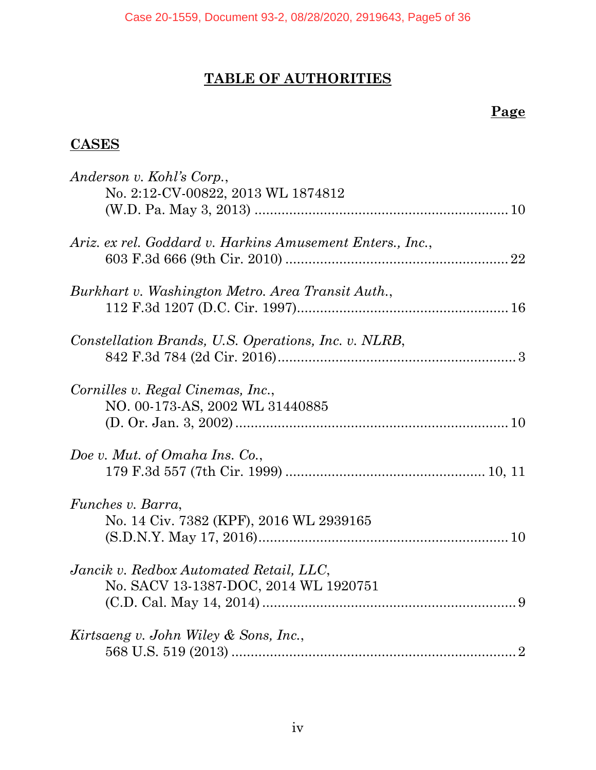# **TABLE OF AUTHORITIES**

## **Page**

## **CASES**

| Anderson v. Kohl's Corp.,<br>No. 2:12-CV-00822, 2013 WL 1874812                  |  |
|----------------------------------------------------------------------------------|--|
| Ariz. ex rel. Goddard v. Harkins Amusement Enters., Inc.,                        |  |
| Burkhart v. Washington Metro. Area Transit Auth.,                                |  |
| Constellation Brands, U.S. Operations, Inc. v. NLRB,                             |  |
| Cornilles v. Regal Cinemas, Inc.,<br>NO. 00-173-AS, 2002 WL 31440885             |  |
| Doe v. Mut. of Omaha Ins. Co.,                                                   |  |
| <i>Funches v. Barra,</i><br>No. 14 Civ. 7382 (KPF), 2016 WL 2939165              |  |
| Jancik v. Redbox Automated Retail, LLC,<br>No. SACV 13-1387-DOC, 2014 WL 1920751 |  |
| Kirtsaeng v. John Wiley & Sons, Inc.,                                            |  |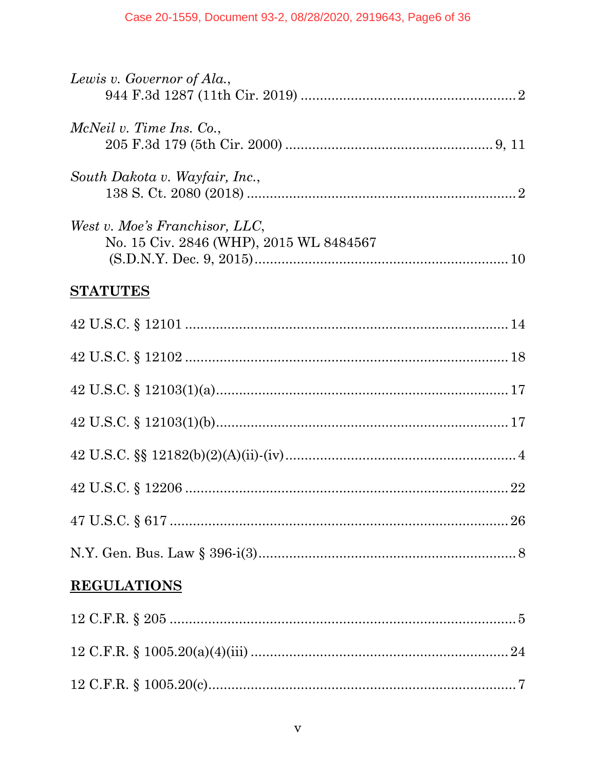| Lewis v. Governor of Ala.,                                                |
|---------------------------------------------------------------------------|
| McNeil v. Time Ins. Co.,                                                  |
| South Dakota v. Wayfair, Inc.,                                            |
| West v. Moe's Franchisor, LLC,<br>No. 15 Civ. 2846 (WHP), 2015 WL 8484567 |
| <b>STATUTES</b>                                                           |
|                                                                           |
|                                                                           |
|                                                                           |
|                                                                           |
|                                                                           |
|                                                                           |
|                                                                           |
|                                                                           |
| <b>REGULATIONS</b>                                                        |
|                                                                           |
|                                                                           |
|                                                                           |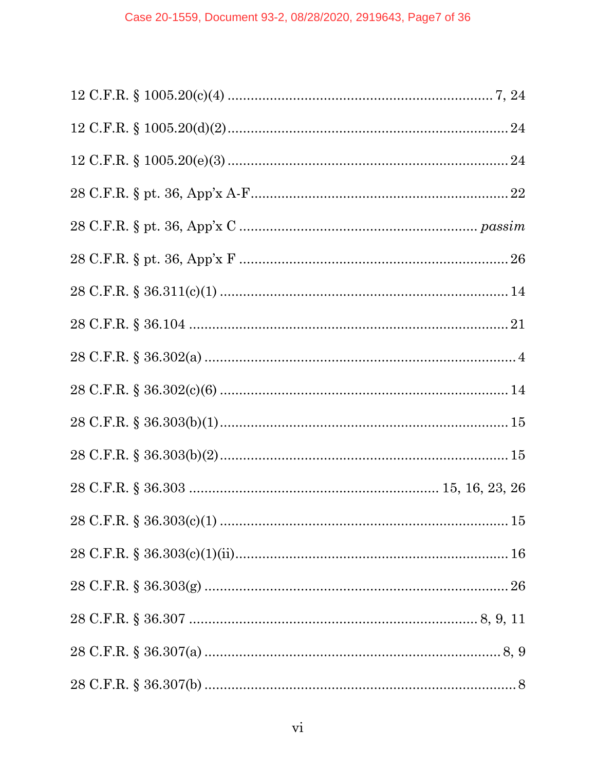| 15 |
|----|
|    |
|    |
|    |
|    |
|    |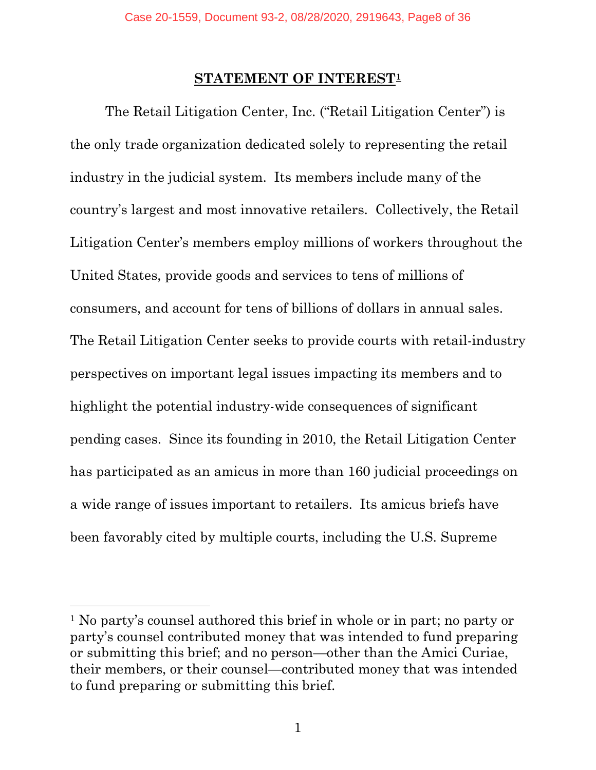#### **STATEMENT OF INTEREST1**

The Retail Litigation Center, Inc. ("Retail Litigation Center") is the only trade organization dedicated solely to representing the retail industry in the judicial system. Its members include many of the country's largest and most innovative retailers. Collectively, the Retail Litigation Center's members employ millions of workers throughout the United States, provide goods and services to tens of millions of consumers, and account for tens of billions of dollars in annual sales. The Retail Litigation Center seeks to provide courts with retail-industry perspectives on important legal issues impacting its members and to highlight the potential industry-wide consequences of significant pending cases. Since its founding in 2010, the Retail Litigation Center has participated as an amicus in more than 160 judicial proceedings on a wide range of issues important to retailers. Its amicus briefs have been favorably cited by multiple courts, including the U.S. Supreme

<sup>1</sup> No party's counsel authored this brief in whole or in part; no party or party's counsel contributed money that was intended to fund preparing or submitting this brief; and no person—other than the Amici Curiae, their members, or their counsel—contributed money that was intended to fund preparing or submitting this brief.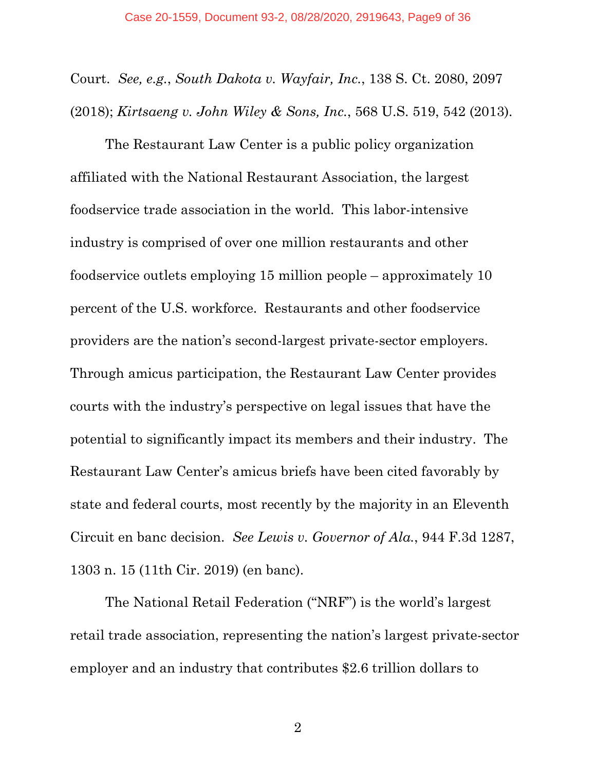Court. *See, e.g.*, *South Dakota v. Wayfair, Inc.*, 138 S. Ct. 2080, 2097 (2018); *Kirtsaeng v. John Wiley & Sons, Inc.*, 568 U.S. 519, 542 (2013).

The Restaurant Law Center is a public policy organization affiliated with the National Restaurant Association, the largest foodservice trade association in the world. This labor-intensive industry is comprised of over one million restaurants and other foodservice outlets employing 15 million people – approximately 10 percent of the U.S. workforce. Restaurants and other foodservice providers are the nation's second-largest private-sector employers. Through amicus participation, the Restaurant Law Center provides courts with the industry's perspective on legal issues that have the potential to significantly impact its members and their industry. The Restaurant Law Center's amicus briefs have been cited favorably by state and federal courts, most recently by the majority in an Eleventh Circuit en banc decision. *See Lewis v. Governor of Ala.*, 944 F.3d 1287, 1303 n. 15 (11th Cir. 2019) (en banc).

The National Retail Federation ("NRF") is the world's largest retail trade association, representing the nation's largest private-sector employer and an industry that contributes \$2.6 trillion dollars to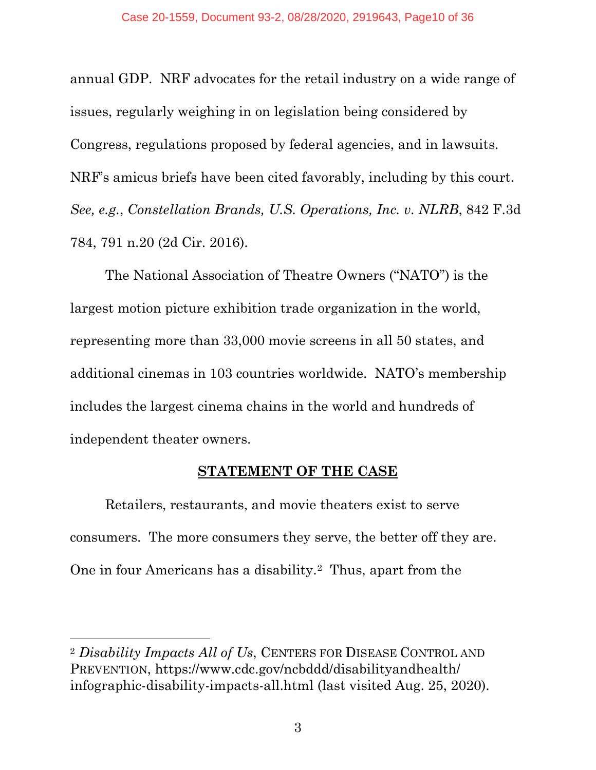annual GDP. NRF advocates for the retail industry on a wide range of issues, regularly weighing in on legislation being considered by Congress, regulations proposed by federal agencies, and in lawsuits. NRF's amicus briefs have been cited favorably, including by this court. *See, e.g.*, *Constellation Brands, U.S. Operations, Inc. v. NLRB*, 842 F.3d 784, 791 n.20 (2d Cir. 2016).

The National Association of Theatre Owners ("NATO") is the largest motion picture exhibition trade organization in the world, representing more than 33,000 movie screens in all 50 states, and additional cinemas in 103 countries worldwide. NATO's membership includes the largest cinema chains in the world and hundreds of independent theater owners.

#### **STATEMENT OF THE CASE**

Retailers, restaurants, and movie theaters exist to serve consumers. The more consumers they serve, the better off they are. One in four Americans has a disability.2 Thus, apart from the

<sup>2</sup> *Disability Impacts All of Us*, CENTERS FOR DISEASE CONTROL AND PREVENTION, https://www.cdc.gov/ncbddd/disabilityandhealth/ infographic-disability-impacts-all.html (last visited Aug. 25, 2020).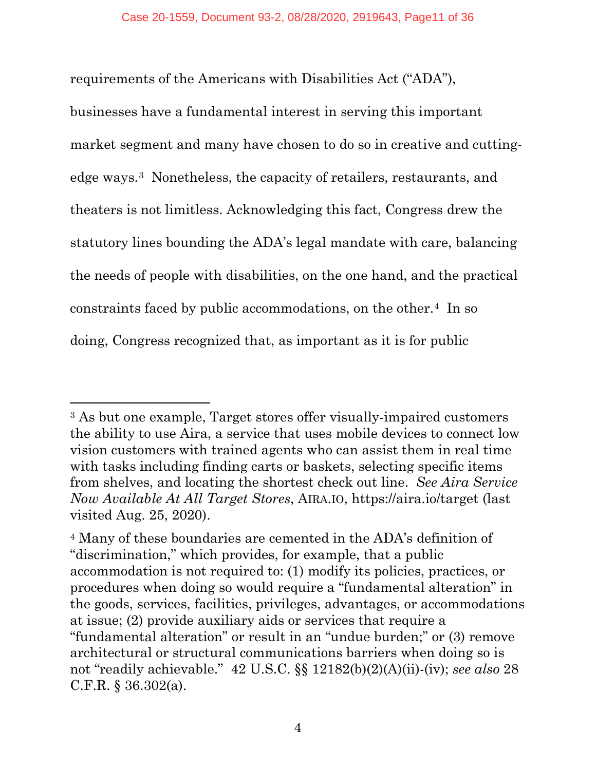requirements of the Americans with Disabilities Act ("ADA"),

businesses have a fundamental interest in serving this important market segment and many have chosen to do so in creative and cuttingedge ways.3 Nonetheless, the capacity of retailers, restaurants, and theaters is not limitless. Acknowledging this fact, Congress drew the statutory lines bounding the ADA's legal mandate with care, balancing the needs of people with disabilities, on the one hand, and the practical constraints faced by public accommodations, on the other.4 In so doing, Congress recognized that, as important as it is for public

<sup>3</sup> As but one example, Target stores offer visually-impaired customers the ability to use Aira, a service that uses mobile devices to connect low vision customers with trained agents who can assist them in real time with tasks including finding carts or baskets, selecting specific items from shelves, and locating the shortest check out line. *See Aira Service Now Available At All Target Stores*, AIRA.IO, https://aira.io/target (last visited Aug. 25, 2020).

<sup>4</sup> Many of these boundaries are cemented in the ADA's definition of "discrimination," which provides, for example, that a public accommodation is not required to: (1) modify its policies, practices, or procedures when doing so would require a "fundamental alteration" in the goods, services, facilities, privileges, advantages, or accommodations at issue; (2) provide auxiliary aids or services that require a "fundamental alteration" or result in an "undue burden;" or (3) remove architectural or structural communications barriers when doing so is not "readily achievable." 42 U.S.C. §§ 12182(b)(2)(A)(ii)-(iv); *see also* 28 C.F.R. § 36.302(a).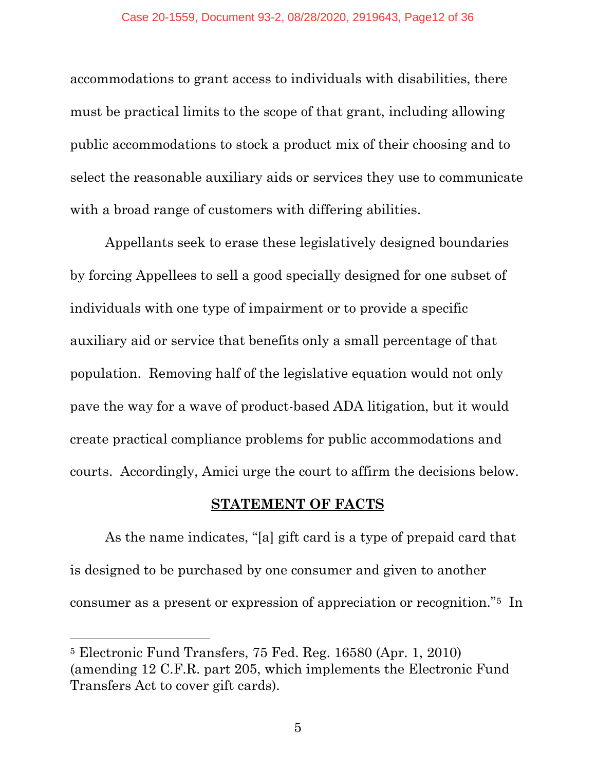accommodations to grant access to individuals with disabilities, there must be practical limits to the scope of that grant, including allowing public accommodations to stock a product mix of their choosing and to select the reasonable auxiliary aids or services they use to communicate with a broad range of customers with differing abilities.

Appellants seek to erase these legislatively designed boundaries by forcing Appellees to sell a good specially designed for one subset of individuals with one type of impairment or to provide a specific auxiliary aid or service that benefits only a small percentage of that population. Removing half of the legislative equation would not only pave the way for a wave of product-based ADA litigation, but it would create practical compliance problems for public accommodations and courts. Accordingly, Amici urge the court to affirm the decisions below.

#### **STATEMENT OF FACTS**

As the name indicates, "[a] gift card is a type of prepaid card that is designed to be purchased by one consumer and given to another consumer as a present or expression of appreciation or recognition."5 In

<sup>5</sup> Electronic Fund Transfers, 75 Fed. Reg. 16580 (Apr. 1, 2010) (amending 12 C.F.R. part 205, which implements the Electronic Fund Transfers Act to cover gift cards).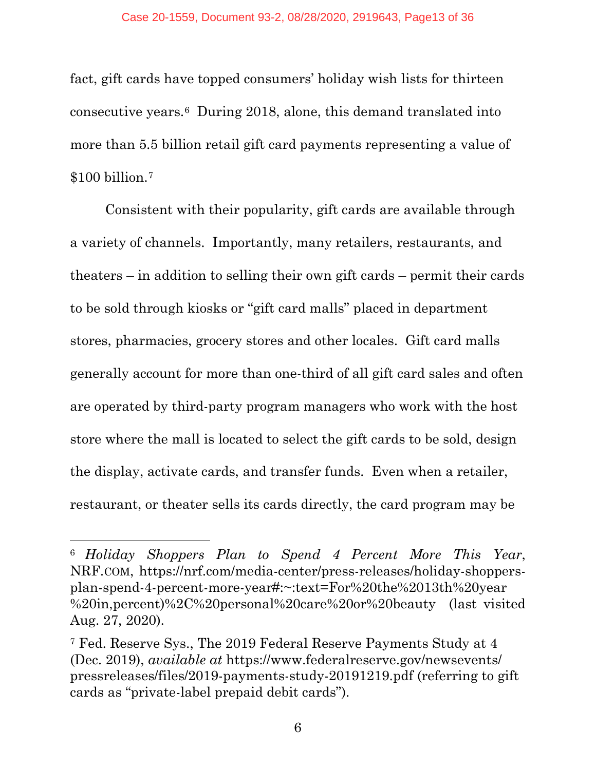fact, gift cards have topped consumers' holiday wish lists for thirteen consecutive years.6 During 2018, alone, this demand translated into more than 5.5 billion retail gift card payments representing a value of \$100 billion.7

Consistent with their popularity, gift cards are available through a variety of channels. Importantly, many retailers, restaurants, and theaters – in addition to selling their own gift cards – permit their cards to be sold through kiosks or "gift card malls" placed in department stores, pharmacies, grocery stores and other locales. Gift card malls generally account for more than one-third of all gift card sales and often are operated by third-party program managers who work with the host store where the mall is located to select the gift cards to be sold, design the display, activate cards, and transfer funds. Even when a retailer, restaurant, or theater sells its cards directly, the card program may be

<sup>6</sup> *Holiday Shoppers Plan to Spend 4 Percent More This Year*, NRF.COM, https://nrf.com/media-center/press-releases/holiday-shoppersplan-spend-4-percent-more-year#:~:text=For%20the%2013th%20year %20in,percent)%2C%20personal%20care%20or%20beauty (last visited Aug. 27, 2020).

<sup>7</sup> Fed. Reserve Sys., The 2019 Federal Reserve Payments Study at 4 (Dec. 2019), *available at* https://www.federalreserve.gov/newsevents/ pressreleases/files/2019-payments-study-20191219.pdf (referring to gift cards as "private-label prepaid debit cards").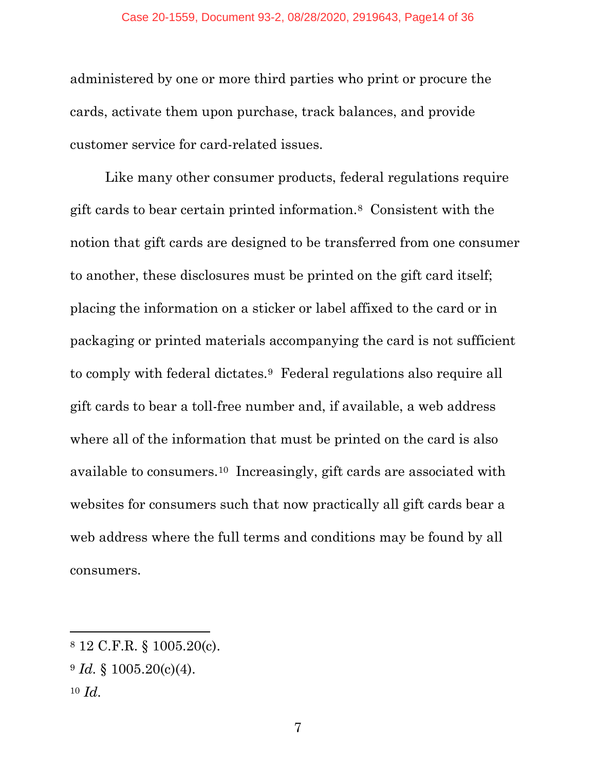administered by one or more third parties who print or procure the cards, activate them upon purchase, track balances, and provide customer service for card-related issues.

Like many other consumer products, federal regulations require gift cards to bear certain printed information.8 Consistent with the notion that gift cards are designed to be transferred from one consumer to another, these disclosures must be printed on the gift card itself; placing the information on a sticker or label affixed to the card or in packaging or printed materials accompanying the card is not sufficient to comply with federal dictates.9 Federal regulations also require all gift cards to bear a toll-free number and, if available, a web address where all of the information that must be printed on the card is also available to consumers.10 Increasingly, gift cards are associated with websites for consumers such that now practically all gift cards bear a web address where the full terms and conditions may be found by all consumers.

<sup>8</sup> 12 C.F.R. § 1005.20(c).

 $9 \text{ Id. }$  \$ 1005.20(c)(4).

<sup>10</sup> *Id.*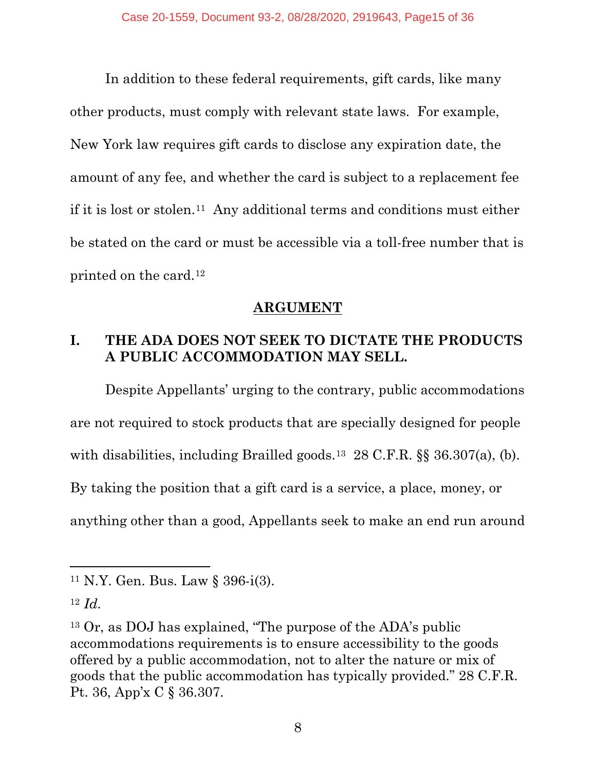In addition to these federal requirements, gift cards, like many other products, must comply with relevant state laws. For example, New York law requires gift cards to disclose any expiration date, the amount of any fee, and whether the card is subject to a replacement fee if it is lost or stolen.11 Any additional terms and conditions must either be stated on the card or must be accessible via a toll-free number that is printed on the card.12

#### **ARGUMENT**

## **I. THE ADA DOES NOT SEEK TO DICTATE THE PRODUCTS A PUBLIC ACCOMMODATION MAY SELL.**

Despite Appellants' urging to the contrary, public accommodations are not required to stock products that are specially designed for people with disabilities, including Brailled goods.<sup>13</sup> 28 C.F.R. §§ 36.307(a), (b). By taking the position that a gift card is a service, a place, money, or anything other than a good, Appellants seek to make an end run around

<sup>11</sup> N.Y. Gen. Bus. Law § 396-i(3).

<sup>12</sup> *Id.*

<sup>13</sup> Or, as DOJ has explained, "The purpose of the ADA's public accommodations requirements is to ensure accessibility to the goods offered by a public accommodation, not to alter the nature or mix of goods that the public accommodation has typically provided." 28 C.F.R. Pt. 36, App'x C § 36.307.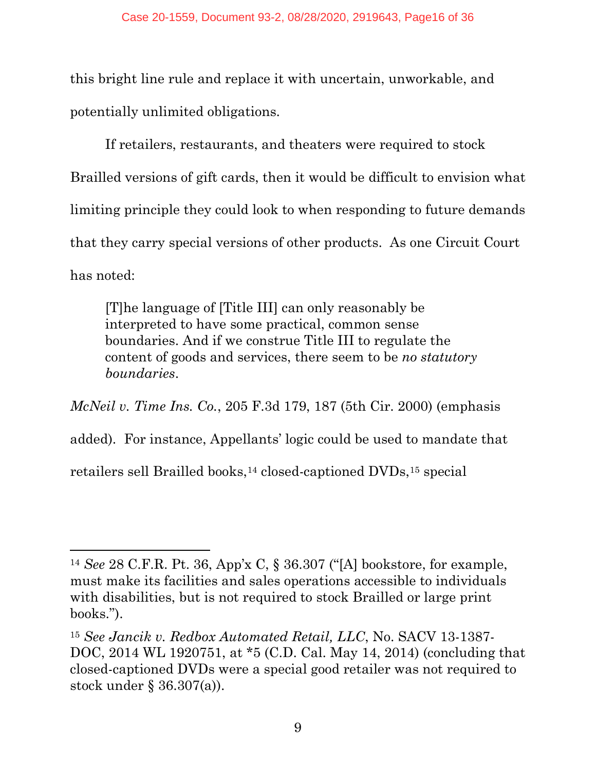this bright line rule and replace it with uncertain, unworkable, and potentially unlimited obligations.

If retailers, restaurants, and theaters were required to stock Brailled versions of gift cards, then it would be difficult to envision what limiting principle they could look to when responding to future demands that they carry special versions of other products. As one Circuit Court has noted:

[T]he language of [Title III] can only reasonably be interpreted to have some practical, common sense boundaries. And if we construe Title III to regulate the content of goods and services, there seem to be *no statutory boundaries*.

*McNeil v. Time Ins. Co.*, 205 F.3d 179, 187 (5th Cir. 2000) (emphasis added). For instance, Appellants' logic could be used to mandate that

retailers sell Brailled books,<sup>14</sup> closed-captioned DVDs,<sup>15</sup> special

<sup>14</sup> *See* 28 C.F.R. Pt. 36, App'x C, § 36.307 ("[A] bookstore, for example, must make its facilities and sales operations accessible to individuals with disabilities, but is not required to stock Brailled or large print books.").

<sup>15</sup> *See Jancik v. Redbox Automated Retail, LLC*, No. SACV 13-1387- DOC, 2014 WL 1920751, at \*5 (C.D. Cal. May 14, 2014) (concluding that closed-captioned DVDs were a special good retailer was not required to stock under § 36.307(a)).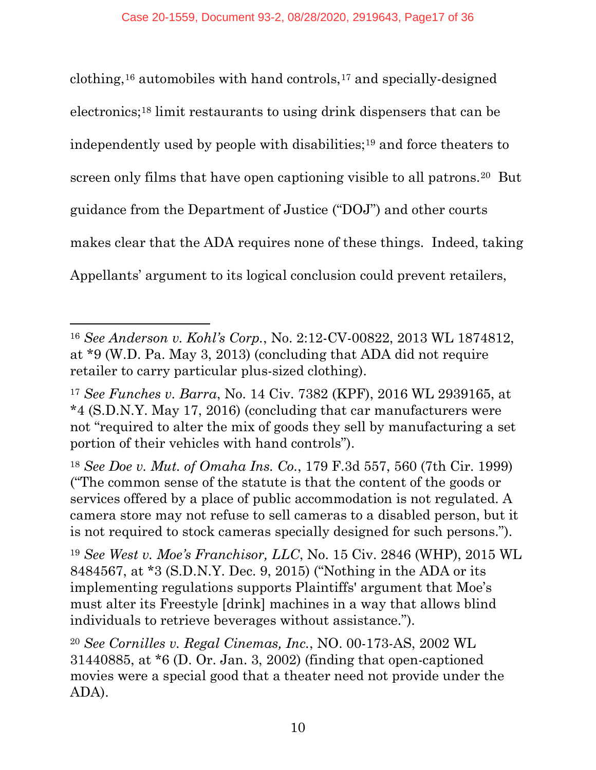clothing,16 automobiles with hand controls,17 and specially-designed electronics;18 limit restaurants to using drink dispensers that can be independently used by people with disabilities;19 and force theaters to screen only films that have open captioning visible to all patrons.20 But guidance from the Department of Justice ("DOJ") and other courts makes clear that the ADA requires none of these things. Indeed, taking Appellants' argument to its logical conclusion could prevent retailers,

<sup>16</sup> *See Anderson v. Kohl's Corp.*, No. 2:12-CV-00822, 2013 WL 1874812, at \*9 (W.D. Pa. May 3, 2013) (concluding that ADA did not require retailer to carry particular plus-sized clothing).

<sup>17</sup> *See Funches v. Barra*, No. 14 Civ. 7382 (KPF), 2016 WL 2939165, at \*4 (S.D.N.Y. May 17, 2016) (concluding that car manufacturers were not "required to alter the mix of goods they sell by manufacturing a set portion of their vehicles with hand controls").

<sup>18</sup> *See Doe v. Mut. of Omaha Ins. Co.*, 179 F.3d 557, 560 (7th Cir. 1999) ("The common sense of the statute is that the content of the goods or services offered by a place of public accommodation is not regulated. A camera store may not refuse to sell cameras to a disabled person, but it is not required to stock cameras specially designed for such persons.").

<sup>19</sup> *See West v. Moe's Franchisor, LLC*, No. 15 Civ. 2846 (WHP), 2015 WL 8484567, at \*3 (S.D.N.Y. Dec. 9, 2015) ("Nothing in the ADA or its implementing regulations supports Plaintiffs' argument that Moe's must alter its Freestyle [drink] machines in a way that allows blind individuals to retrieve beverages without assistance.").

<sup>20</sup> *See Cornilles v. Regal Cinemas, Inc.*, NO. 00-173-AS, 2002 WL 31440885, at \*6 (D. Or. Jan. 3, 2002) (finding that open-captioned movies were a special good that a theater need not provide under the ADA).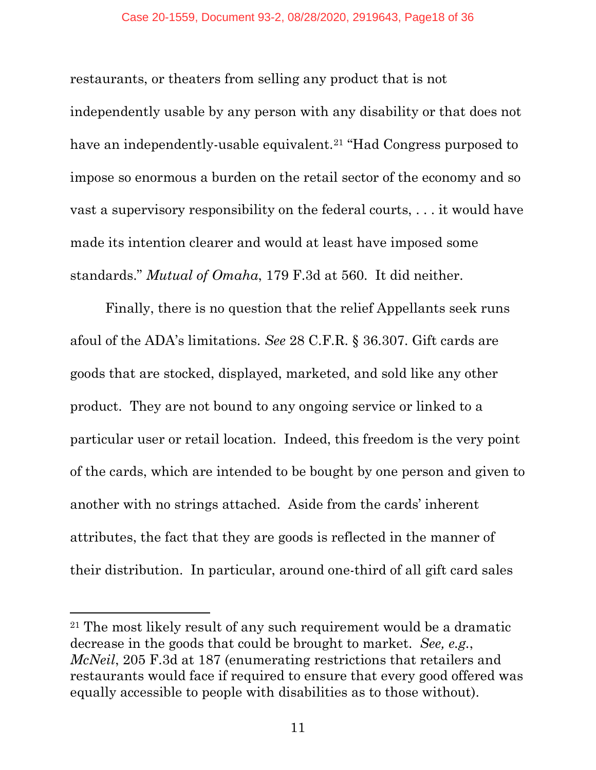restaurants, or theaters from selling any product that is not independently usable by any person with any disability or that does not have an independently-usable equivalent.<sup>21</sup> "Had Congress purposed to impose so enormous a burden on the retail sector of the economy and so vast a supervisory responsibility on the federal courts, . . . it would have made its intention clearer and would at least have imposed some standards." *Mutual of Omaha*, 179 F.3d at 560. It did neither.

Finally, there is no question that the relief Appellants seek runs afoul of the ADA's limitations. *See* 28 C.F.R. § 36.307. Gift cards are goods that are stocked, displayed, marketed, and sold like any other product. They are not bound to any ongoing service or linked to a particular user or retail location. Indeed, this freedom is the very point of the cards, which are intended to be bought by one person and given to another with no strings attached. Aside from the cards' inherent attributes, the fact that they are goods is reflected in the manner of their distribution. In particular, around one-third of all gift card sales

<sup>21</sup> The most likely result of any such requirement would be a dramatic decrease in the goods that could be brought to market. *See, e.g.*, *McNeil*, 205 F.3d at 187 (enumerating restrictions that retailers and restaurants would face if required to ensure that every good offered was equally accessible to people with disabilities as to those without).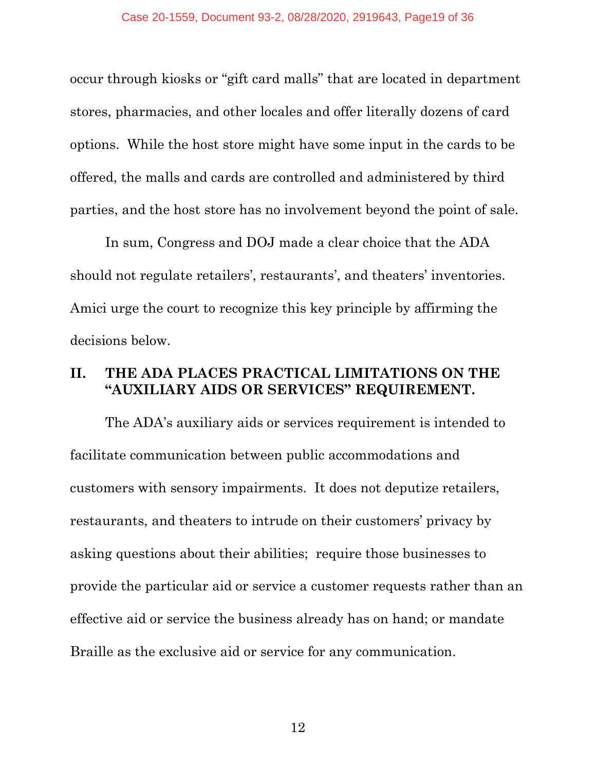occur through kiosks or "gift card malls" that are located in department stores, pharmacies, and other locales and offer literally dozens of card options. While the host store might have some input in the cards to be offered, the malls and cards are controlled and administered by third parties, and the host store has no involvement beyond the point of sale.

In sum, Congress and DOJ made a clear choice that the ADA should not regulate retailers', restaurants', and theaters' inventories. Amici urge the court to recognize this key principle by affirming the decisions below.

## **II. THE ADA PLACES PRACTICAL LIMITATIONS ON THE "AUXILIARY AIDS OR SERVICES" REQUIREMENT.**

The ADA's auxiliary aids or services requirement is intended to facilitate communication between public accommodations and customers with sensory impairments. It does not deputize retailers, restaurants, and theaters to intrude on their customers' privacy by asking questions about their abilities; require those businesses to provide the particular aid or service a customer requests rather than an effective aid or service the business already has on hand; or mandate Braille as the exclusive aid or service for any communication.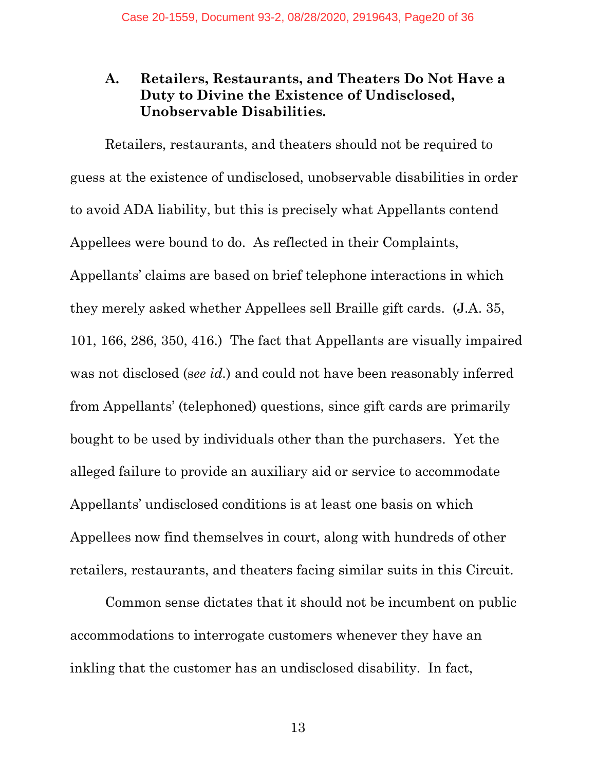#### **A. Retailers, Restaurants, and Theaters Do Not Have a Duty to Divine the Existence of Undisclosed, Unobservable Disabilities.**

Retailers, restaurants, and theaters should not be required to guess at the existence of undisclosed, unobservable disabilities in order to avoid ADA liability, but this is precisely what Appellants contend Appellees were bound to do. As reflected in their Complaints, Appellants' claims are based on brief telephone interactions in which they merely asked whether Appellees sell Braille gift cards. (J.A. 35, 101, 166, 286, 350, 416.) The fact that Appellants are visually impaired was not disclosed (s*ee id.*) and could not have been reasonably inferred from Appellants' (telephoned) questions, since gift cards are primarily bought to be used by individuals other than the purchasers. Yet the alleged failure to provide an auxiliary aid or service to accommodate Appellants' undisclosed conditions is at least one basis on which Appellees now find themselves in court, along with hundreds of other retailers, restaurants, and theaters facing similar suits in this Circuit.

Common sense dictates that it should not be incumbent on public accommodations to interrogate customers whenever they have an inkling that the customer has an undisclosed disability. In fact,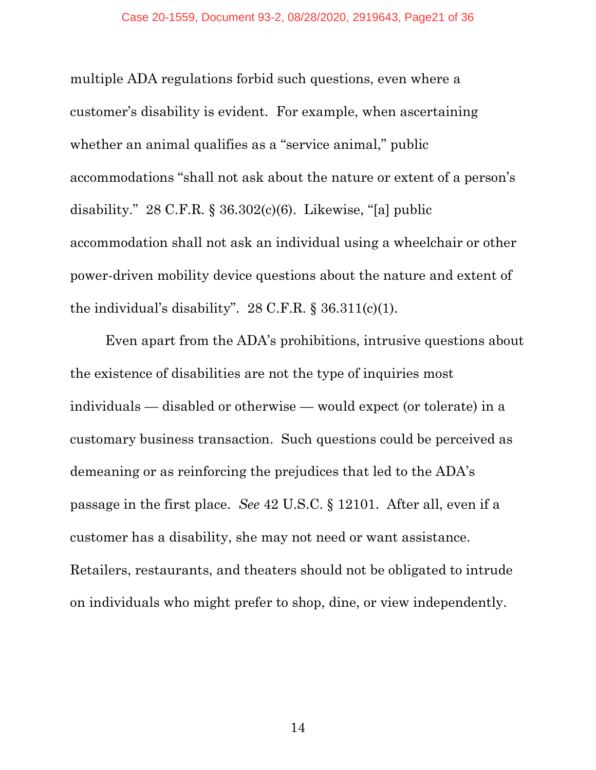multiple ADA regulations forbid such questions, even where a customer's disability is evident. For example, when ascertaining whether an animal qualifies as a "service animal," public accommodations "shall not ask about the nature or extent of a person's disability."  $28$  C.F.R. §  $36.302(c)(6)$ . Likewise, "[a] public accommodation shall not ask an individual using a wheelchair or other power-driven mobility device questions about the nature and extent of the individual's disability".  $28$  C.F.R. §  $36.311(c)(1)$ .

Even apart from the ADA's prohibitions, intrusive questions about the existence of disabilities are not the type of inquiries most individuals — disabled or otherwise — would expect (or tolerate) in a customary business transaction. Such questions could be perceived as demeaning or as reinforcing the prejudices that led to the ADA's passage in the first place. *See* 42 U.S.C. § 12101. After all, even if a customer has a disability, she may not need or want assistance. Retailers, restaurants, and theaters should not be obligated to intrude on individuals who might prefer to shop, dine, or view independently.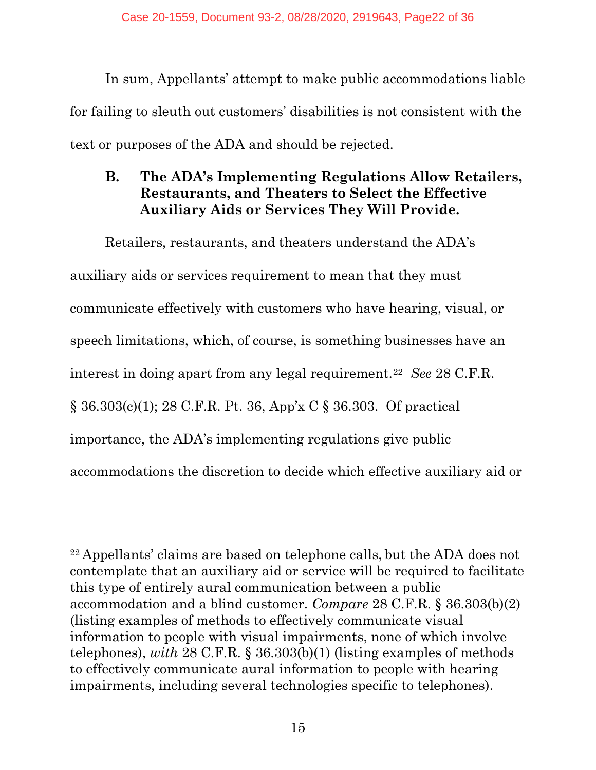In sum, Appellants' attempt to make public accommodations liable for failing to sleuth out customers' disabilities is not consistent with the text or purposes of the ADA and should be rejected.

### **B. The ADA's Implementing Regulations Allow Retailers, Restaurants, and Theaters to Select the Effective Auxiliary Aids or Services They Will Provide.**

Retailers, restaurants, and theaters understand the ADA's auxiliary aids or services requirement to mean that they must communicate effectively with customers who have hearing, visual, or speech limitations, which, of course, is something businesses have an interest in doing apart from any legal requirement.22 *See* 28 C.F.R. § 36.303(c)(1); 28 C.F.R. Pt. 36, App'x C § 36.303. Of practical importance, the ADA's implementing regulations give public accommodations the discretion to decide which effective auxiliary aid or

<sup>22</sup> Appellants' claims are based on telephone calls, but the ADA does not contemplate that an auxiliary aid or service will be required to facilitate this type of entirely aural communication between a public accommodation and a blind customer. *Compare* 28 C.F.R. § 36.303(b)(2) (listing examples of methods to effectively communicate visual information to people with visual impairments, none of which involve telephones), *with* 28 C.F.R. § 36.303(b)(1) (listing examples of methods to effectively communicate aural information to people with hearing impairments, including several technologies specific to telephones).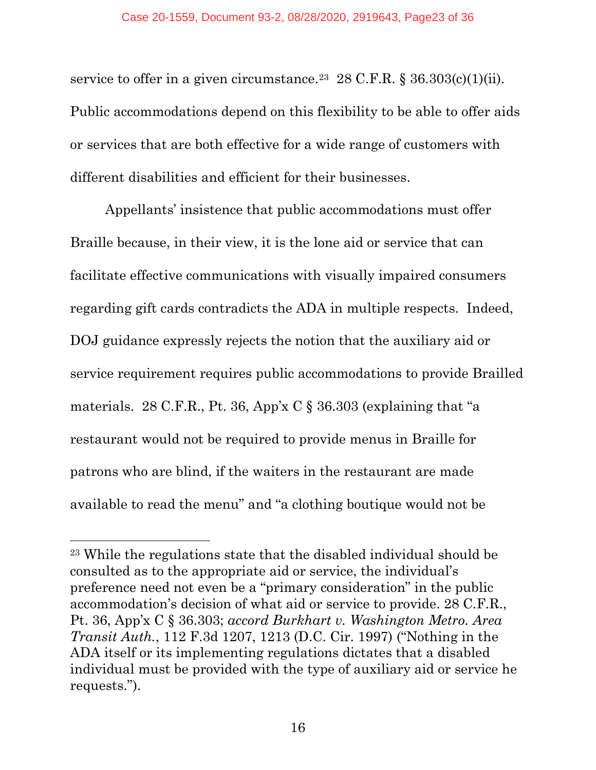service to offer in a given circumstance.<sup>23</sup> 28 C.F.R. § 36.303(c)(1)(ii). Public accommodations depend on this flexibility to be able to offer aids or services that are both effective for a wide range of customers with different disabilities and efficient for their businesses.

Appellants' insistence that public accommodations must offer Braille because, in their view, it is the lone aid or service that can facilitate effective communications with visually impaired consumers regarding gift cards contradicts the ADA in multiple respects. Indeed, DOJ guidance expressly rejects the notion that the auxiliary aid or service requirement requires public accommodations to provide Brailled materials. 28 C.F.R., Pt. 36, App'x C § 36.303 (explaining that "a restaurant would not be required to provide menus in Braille for patrons who are blind, if the waiters in the restaurant are made available to read the menu" and "a clothing boutique would not be

<sup>23</sup> While the regulations state that the disabled individual should be consulted as to the appropriate aid or service, the individual's preference need not even be a "primary consideration" in the public accommodation's decision of what aid or service to provide. 28 C.F.R., Pt. 36, App'x C § 36.303; *accord Burkhart v. Washington Metro. Area Transit Auth.*, 112 F.3d 1207, 1213 (D.C. Cir. 1997) ("Nothing in the ADA itself or its implementing regulations dictates that a disabled individual must be provided with the type of auxiliary aid or service he requests.").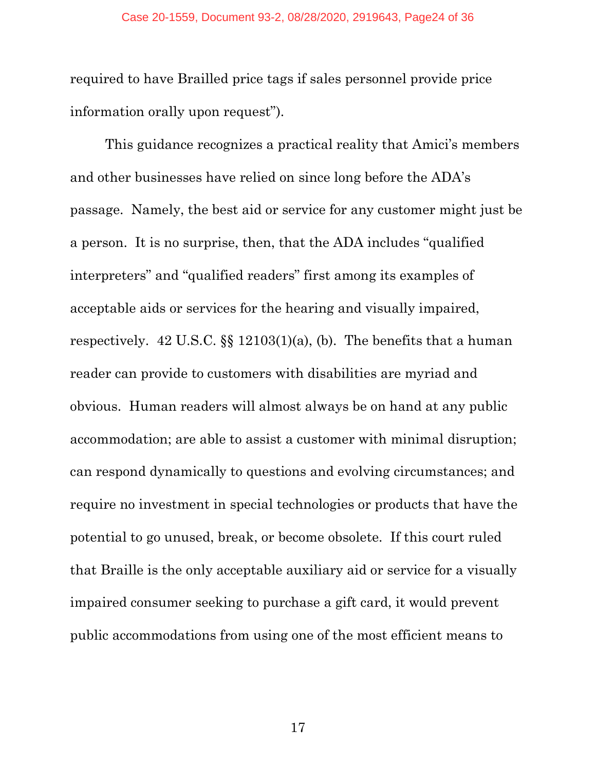required to have Brailled price tags if sales personnel provide price information orally upon request").

This guidance recognizes a practical reality that Amici's members and other businesses have relied on since long before the ADA's passage. Namely, the best aid or service for any customer might just be a person. It is no surprise, then, that the ADA includes "qualified interpreters" and "qualified readers" first among its examples of acceptable aids or services for the hearing and visually impaired, respectively. 42 U.S.C. §§ 12103(1)(a), (b). The benefits that a human reader can provide to customers with disabilities are myriad and obvious. Human readers will almost always be on hand at any public accommodation; are able to assist a customer with minimal disruption; can respond dynamically to questions and evolving circumstances; and require no investment in special technologies or products that have the potential to go unused, break, or become obsolete. If this court ruled that Braille is the only acceptable auxiliary aid or service for a visually impaired consumer seeking to purchase a gift card, it would prevent public accommodations from using one of the most efficient means to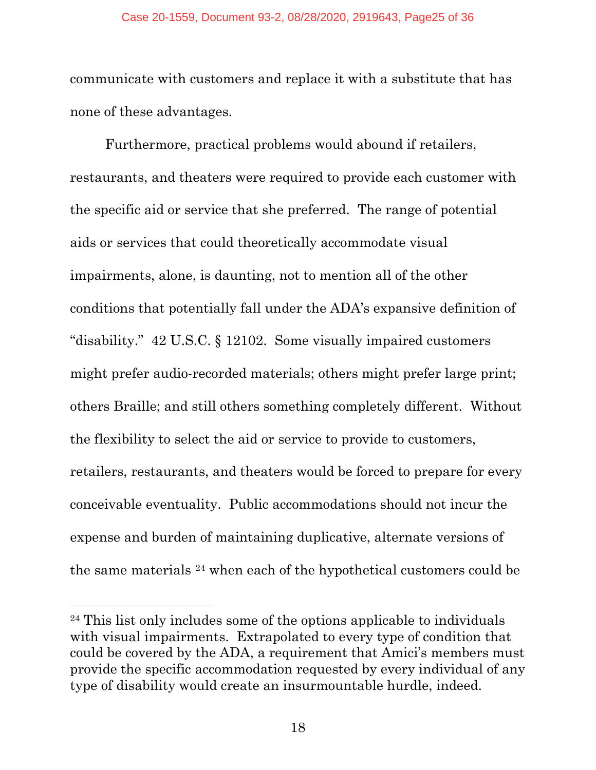#### Case 20-1559, Document 93-2, 08/28/2020, 2919643, Page25 of 36

communicate with customers and replace it with a substitute that has none of these advantages.

Furthermore, practical problems would abound if retailers, restaurants, and theaters were required to provide each customer with the specific aid or service that she preferred. The range of potential aids or services that could theoretically accommodate visual impairments, alone, is daunting, not to mention all of the other conditions that potentially fall under the ADA's expansive definition of "disability." 42 U.S.C. § 12102. Some visually impaired customers might prefer audio-recorded materials; others might prefer large print; others Braille; and still others something completely different. Without the flexibility to select the aid or service to provide to customers, retailers, restaurants, and theaters would be forced to prepare for every conceivable eventuality. Public accommodations should not incur the expense and burden of maintaining duplicative, alternate versions of the same materials 24 when each of the hypothetical customers could be

<sup>24</sup> This list only includes some of the options applicable to individuals with visual impairments. Extrapolated to every type of condition that could be covered by the ADA, a requirement that Amici's members must provide the specific accommodation requested by every individual of any type of disability would create an insurmountable hurdle, indeed.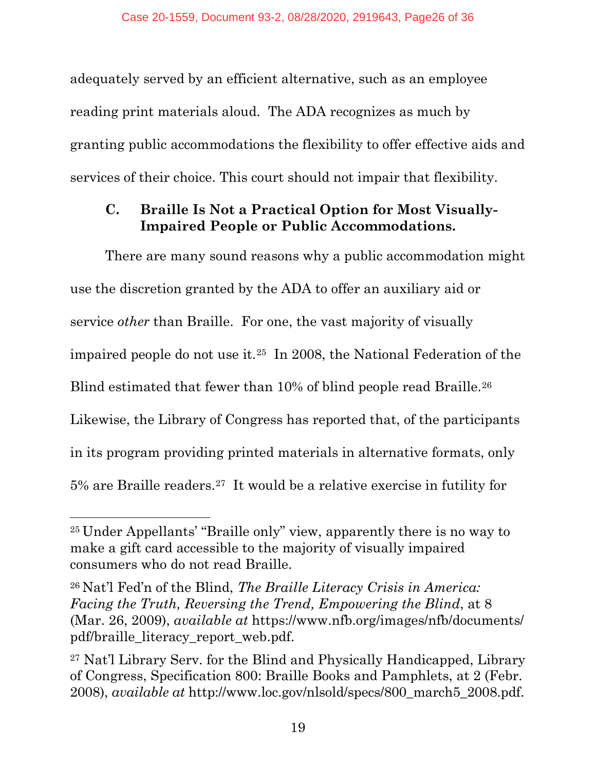adequately served by an efficient alternative, such as an employee reading print materials aloud. The ADA recognizes as much by granting public accommodations the flexibility to offer effective aids and services of their choice. This court should not impair that flexibility.

### **C. Braille Is Not a Practical Option for Most Visually-Impaired People or Public Accommodations.**

There are many sound reasons why a public accommodation might use the discretion granted by the ADA to offer an auxiliary aid or service *other* than Braille. For one, the vast majority of visually impaired people do not use it.25 In 2008, the National Federation of the Blind estimated that fewer than 10% of blind people read Braille.<sup>26</sup> Likewise, the Library of Congress has reported that, of the participants in its program providing printed materials in alternative formats, only 5% are Braille readers.27 It would be a relative exercise in futility for

<sup>25</sup> Under Appellants' "Braille only" view, apparently there is no way to make a gift card accessible to the majority of visually impaired consumers who do not read Braille.

<sup>26</sup> Nat'l Fed'n of the Blind, *The Braille Literacy Crisis in America: Facing the Truth, Reversing the Trend, Empowering the Blind*, at 8 (Mar. 26, 2009), *available at* https://www.nfb.org/images/nfb/documents/ pdf/braille\_literacy\_report\_web.pdf.

<sup>27</sup> Nat'l Library Serv. for the Blind and Physically Handicapped, Library of Congress, Specification 800: Braille Books and Pamphlets, at 2 (Febr. 2008), *available at* http://www.loc.gov/nlsold/specs/800\_march5\_2008.pdf.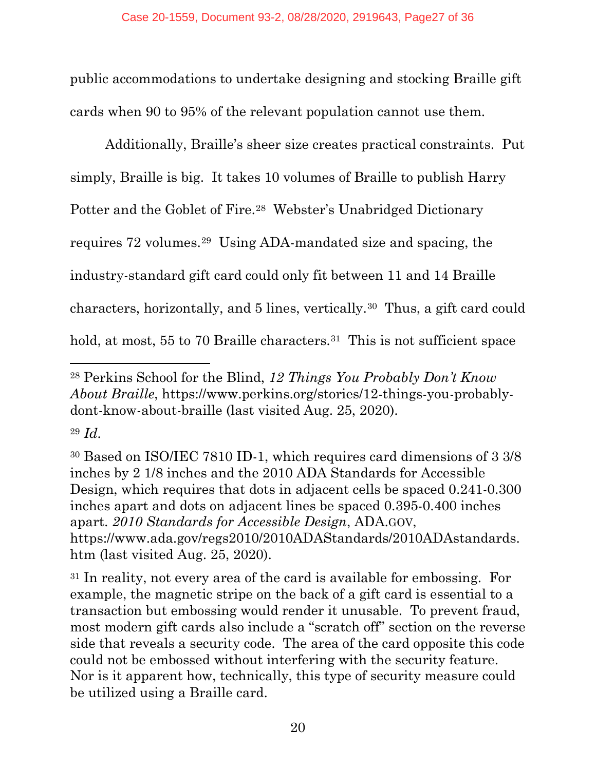public accommodations to undertake designing and stocking Braille gift cards when 90 to 95% of the relevant population cannot use them.

Additionally, Braille's sheer size creates practical constraints. Put simply, Braille is big. It takes 10 volumes of Braille to publish Harry Potter and the Goblet of Fire.28 Webster's Unabridged Dictionary requires 72 volumes.29 Using ADA-mandated size and spacing, the industry-standard gift card could only fit between 11 and 14 Braille characters, horizontally, and 5 lines, vertically.30 Thus, a gift card could hold, at most, 55 to 70 Braille characters.<sup>31</sup> This is not sufficient space

<sup>28</sup> Perkins School for the Blind, *12 Things You Probably Don't Know About Braille*, https://www.perkins.org/stories/12-things-you-probablydont-know-about-braille (last visited Aug. 25, 2020).

<sup>29</sup> *Id.*

<sup>30</sup> Based on ISO/IEC 7810 ID-1, which requires card dimensions of 3 3/8 inches by 2 1/8 inches and the 2010 ADA Standards for Accessible Design, which requires that dots in adjacent cells be spaced 0.241-0.300 inches apart and dots on adjacent lines be spaced 0.395-0.400 inches apart. *2010 Standards for Accessible Design*, ADA.GOV, https://www.ada.gov/regs2010/2010ADAStandards/2010ADAstandards. htm (last visited Aug. 25, 2020).

<sup>&</sup>lt;sup>31</sup> In reality, not every area of the card is available for embossing. For example, the magnetic stripe on the back of a gift card is essential to a transaction but embossing would render it unusable. To prevent fraud, most modern gift cards also include a "scratch off" section on the reverse side that reveals a security code. The area of the card opposite this code could not be embossed without interfering with the security feature. Nor is it apparent how, technically, this type of security measure could be utilized using a Braille card.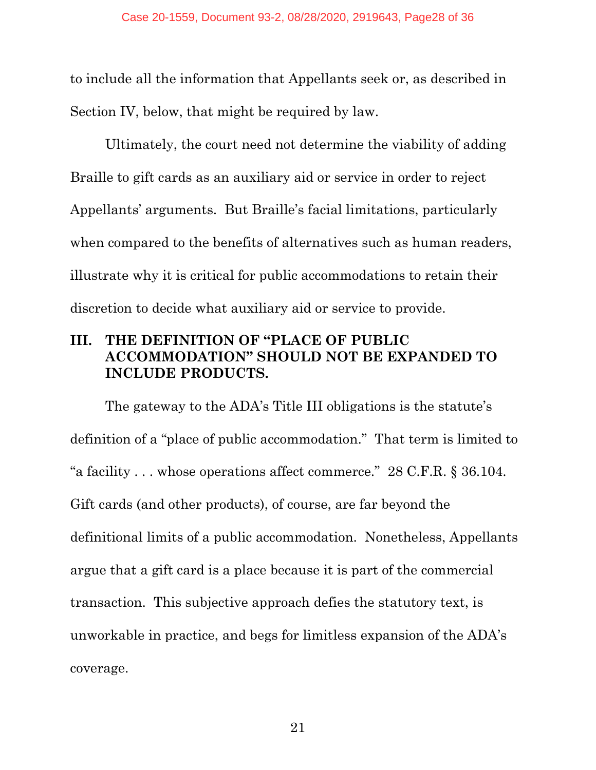to include all the information that Appellants seek or, as described in Section IV, below, that might be required by law.

Ultimately, the court need not determine the viability of adding Braille to gift cards as an auxiliary aid or service in order to reject Appellants' arguments. But Braille's facial limitations, particularly when compared to the benefits of alternatives such as human readers, illustrate why it is critical for public accommodations to retain their discretion to decide what auxiliary aid or service to provide.

#### **III. THE DEFINITION OF "PLACE OF PUBLIC ACCOMMODATION" SHOULD NOT BE EXPANDED TO INCLUDE PRODUCTS.**

The gateway to the ADA's Title III obligations is the statute's definition of a "place of public accommodation." That term is limited to "a facility . . . whose operations affect commerce." 28 C.F.R. § 36.104. Gift cards (and other products), of course, are far beyond the definitional limits of a public accommodation. Nonetheless, Appellants argue that a gift card is a place because it is part of the commercial transaction. This subjective approach defies the statutory text, is unworkable in practice, and begs for limitless expansion of the ADA's coverage.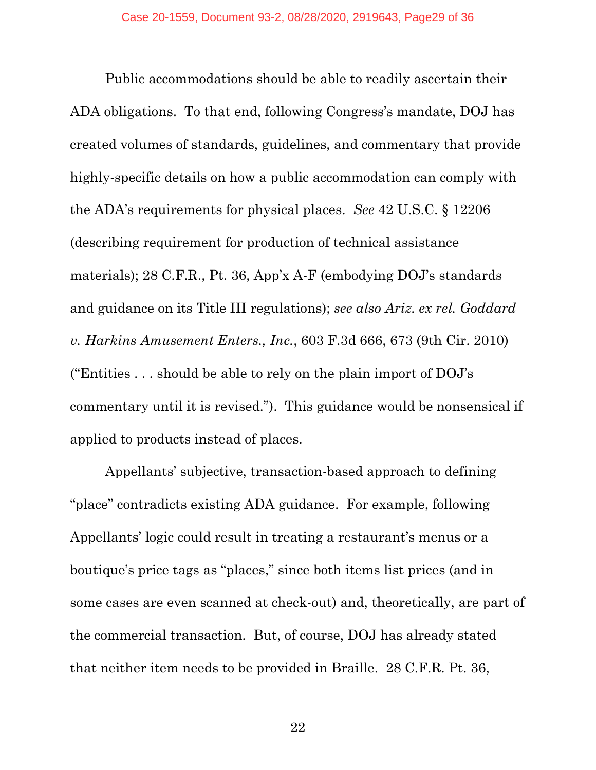Public accommodations should be able to readily ascertain their ADA obligations. To that end, following Congress's mandate, DOJ has created volumes of standards, guidelines, and commentary that provide highly-specific details on how a public accommodation can comply with the ADA's requirements for physical places. *See* 42 U.S.C. § 12206 (describing requirement for production of technical assistance materials); 28 C.F.R., Pt. 36, App'x A-F (embodying DOJ's standards and guidance on its Title III regulations); *see also Ariz. ex rel. Goddard v. Harkins Amusement Enters., Inc.*, 603 F.3d 666, 673 (9th Cir. 2010) ("Entities  $\ldots$  should be able to rely on the plain import of DOJ's commentary until it is revised."). This guidance would be nonsensical if applied to products instead of places.

Appellants' subjective, transaction-based approach to defining "place" contradicts existing ADA guidance. For example, following Appellants' logic could result in treating a restaurant's menus or a boutique's price tags as "places," since both items list prices (and in some cases are even scanned at check-out) and, theoretically, are part of the commercial transaction. But, of course, DOJ has already stated that neither item needs to be provided in Braille. 28 C.F.R. Pt. 36,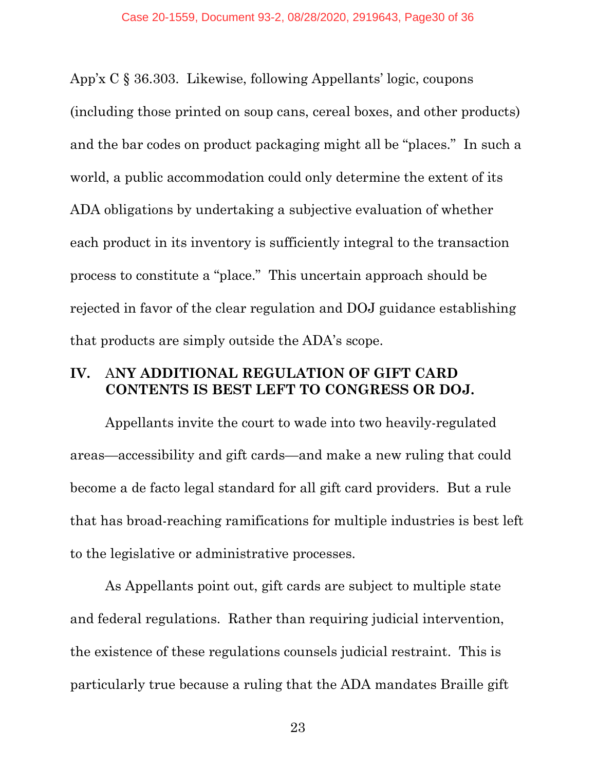App'x C § 36.303. Likewise, following Appellants' logic, coupons (including those printed on soup cans, cereal boxes, and other products) and the bar codes on product packaging might all be "places." In such a world, a public accommodation could only determine the extent of its ADA obligations by undertaking a subjective evaluation of whether each product in its inventory is sufficiently integral to the transaction process to constitute a "place." This uncertain approach should be rejected in favor of the clear regulation and DOJ guidance establishing that products are simply outside the ADA's scope.

#### **IV.** A**NY ADDITIONAL REGULATION OF GIFT CARD CONTENTS IS BEST LEFT TO CONGRESS OR DOJ.**

Appellants invite the court to wade into two heavily-regulated areas—accessibility and gift cards—and make a new ruling that could become a de facto legal standard for all gift card providers. But a rule that has broad-reaching ramifications for multiple industries is best left to the legislative or administrative processes.

As Appellants point out, gift cards are subject to multiple state and federal regulations. Rather than requiring judicial intervention, the existence of these regulations counsels judicial restraint. This is particularly true because a ruling that the ADA mandates Braille gift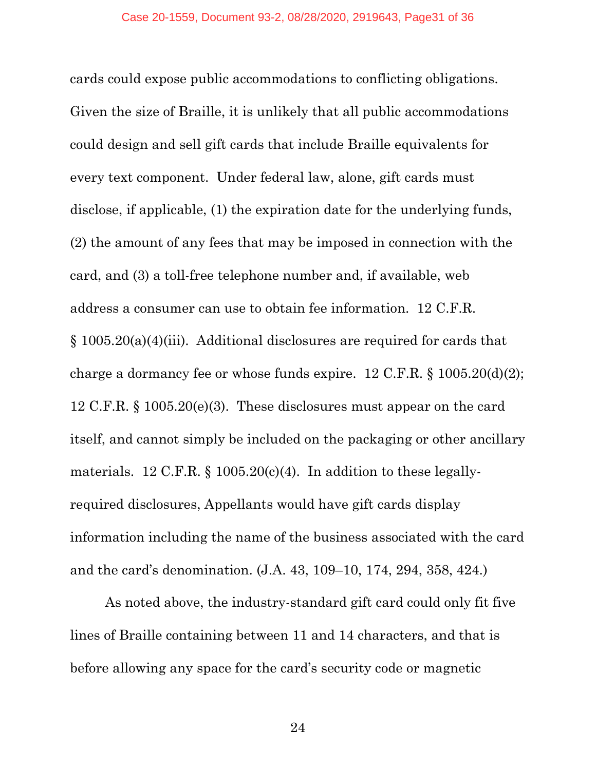cards could expose public accommodations to conflicting obligations. Given the size of Braille, it is unlikely that all public accommodations could design and sell gift cards that include Braille equivalents for every text component. Under federal law, alone, gift cards must disclose, if applicable, (1) the expiration date for the underlying funds, (2) the amount of any fees that may be imposed in connection with the card, and (3) a toll-free telephone number and, if available, web address a consumer can use to obtain fee information. 12 C.F.R. § 1005.20(a)(4)(iii). Additional disclosures are required for cards that charge a dormancy fee or whose funds expire. 12 C.F.R. § 1005.20(d)(2); 12 C.F.R. § 1005.20(e)(3). These disclosures must appear on the card itself, and cannot simply be included on the packaging or other ancillary materials. 12 C.F.R.  $\S$  1005.20(c)(4). In addition to these legallyrequired disclosures, Appellants would have gift cards display information including the name of the business associated with the card and the card's denomination. (J.A. 43, 109–10, 174, 294, 358, 424.)

As noted above, the industry-standard gift card could only fit five lines of Braille containing between 11 and 14 characters, and that is before allowing any space for the card's security code or magnetic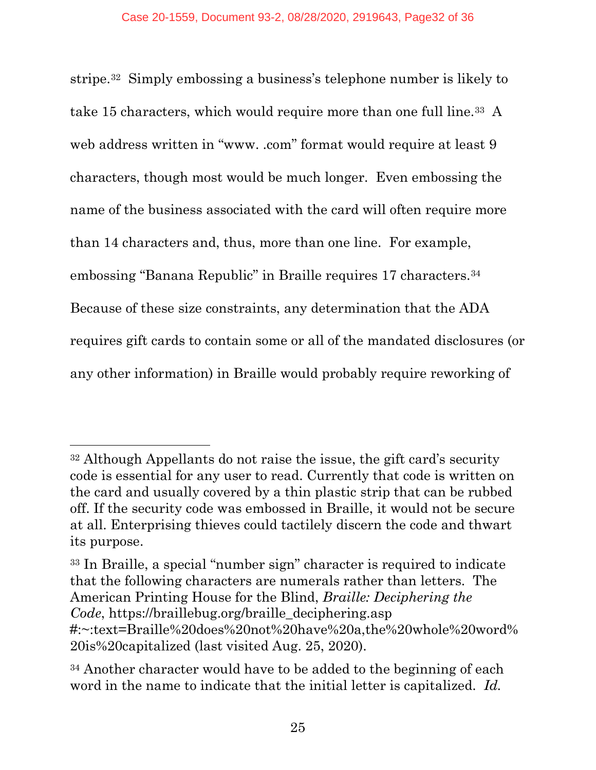stripe.32 Simply embossing a business's telephone number is likely to take 15 characters, which would require more than one full line.33 A web address written in "www. .com" format would require at least 9 characters, though most would be much longer. Even embossing the name of the business associated with the card will often require more than 14 characters and, thus, more than one line. For example, embossing "Banana Republic" in Braille requires 17 characters.34 Because of these size constraints, any determination that the ADA requires gift cards to contain some or all of the mandated disclosures (or any other information) in Braille would probably require reworking of

<sup>32</sup> Although Appellants do not raise the issue, the gift card's security code is essential for any user to read. Currently that code is written on the card and usually covered by a thin plastic strip that can be rubbed off. If the security code was embossed in Braille, it would not be secure at all. Enterprising thieves could tactilely discern the code and thwart its purpose.

<sup>33</sup> In Braille, a special "number sign" character is required to indicate that the following characters are numerals rather than letters. The American Printing House for the Blind, *Braille: Deciphering the Code*, https://braillebug.org/braille\_deciphering.asp #:~:text=Braille%20does%20not%20have%20a,the%20whole%20word% 20is%20capitalized (last visited Aug. 25, 2020).

<sup>34</sup> Another character would have to be added to the beginning of each word in the name to indicate that the initial letter is capitalized. *Id.*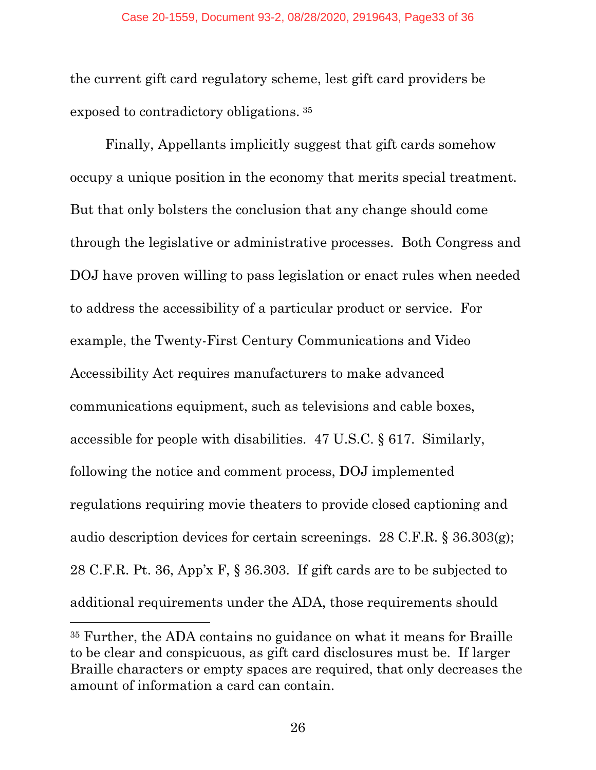the current gift card regulatory scheme, lest gift card providers be exposed to contradictory obligations. 35

Finally, Appellants implicitly suggest that gift cards somehow occupy a unique position in the economy that merits special treatment. But that only bolsters the conclusion that any change should come through the legislative or administrative processes. Both Congress and DOJ have proven willing to pass legislation or enact rules when needed to address the accessibility of a particular product or service. For example, the Twenty-First Century Communications and Video Accessibility Act requires manufacturers to make advanced communications equipment, such as televisions and cable boxes, accessible for people with disabilities. 47 U.S.C. § 617. Similarly, following the notice and comment process, DOJ implemented regulations requiring movie theaters to provide closed captioning and audio description devices for certain screenings. 28 C.F.R. § 36.303(g); 28 C.F.R. Pt. 36, App'x F, § 36.303. If gift cards are to be subjected to additional requirements under the ADA, those requirements should

<sup>35</sup> Further, the ADA contains no guidance on what it means for Braille to be clear and conspicuous, as gift card disclosures must be. If larger Braille characters or empty spaces are required, that only decreases the amount of information a card can contain.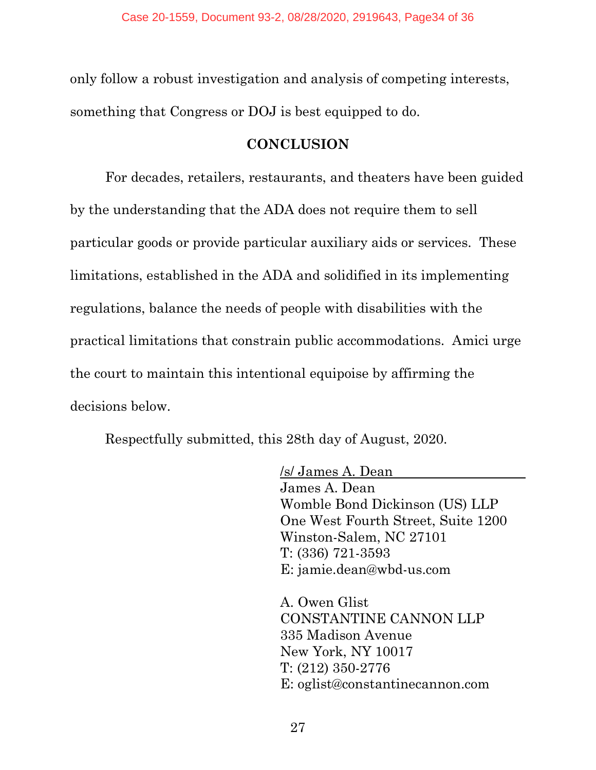only follow a robust investigation and analysis of competing interests, something that Congress or DOJ is best equipped to do.

#### **CONCLUSION**

For decades, retailers, restaurants, and theaters have been guided by the understanding that the ADA does not require them to sell particular goods or provide particular auxiliary aids or services. These limitations, established in the ADA and solidified in its implementing regulations, balance the needs of people with disabilities with the practical limitations that constrain public accommodations. Amici urge the court to maintain this intentional equipoise by affirming the decisions below.

Respectfully submitted, this 28th day of August, 2020.

/s/ James A. Dean James A. Dean Womble Bond Dickinson (US) LLP One West Fourth Street, Suite 1200 Winston-Salem, NC 27101 T: (336) 721-3593 E: jamie.dean@wbd-us.com

A. Owen Glist CONSTANTINE CANNON LLP 335 Madison Avenue New York, NY 10017 T: (212) 350-2776 E: oglist@constantinecannon.com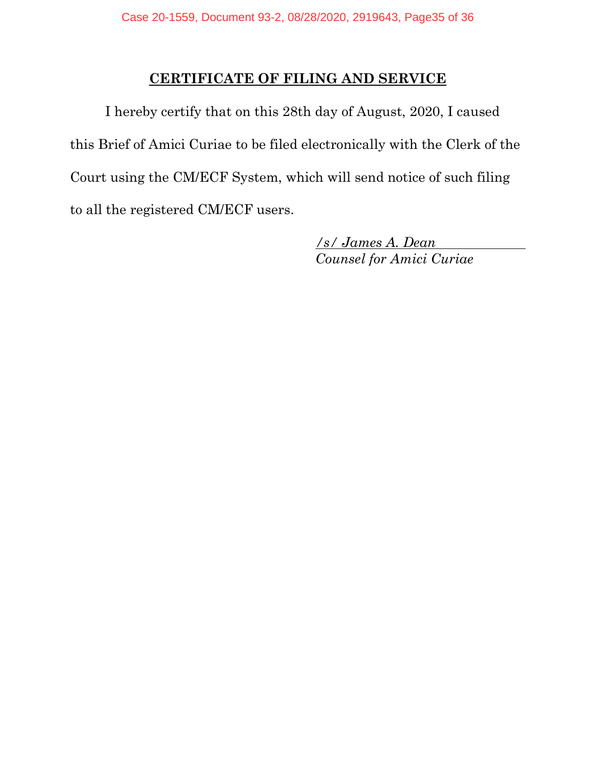#### **CERTIFICATE OF FILING AND SERVICE**

I hereby certify that on this 28th day of August, 2020, I caused this Brief of Amici Curiae to be filed electronically with the Clerk of the Court using the CM/ECF System, which will send notice of such filing to all the registered CM/ECF users.

> */s/ James A. Dean Counsel for Amici Curiae*